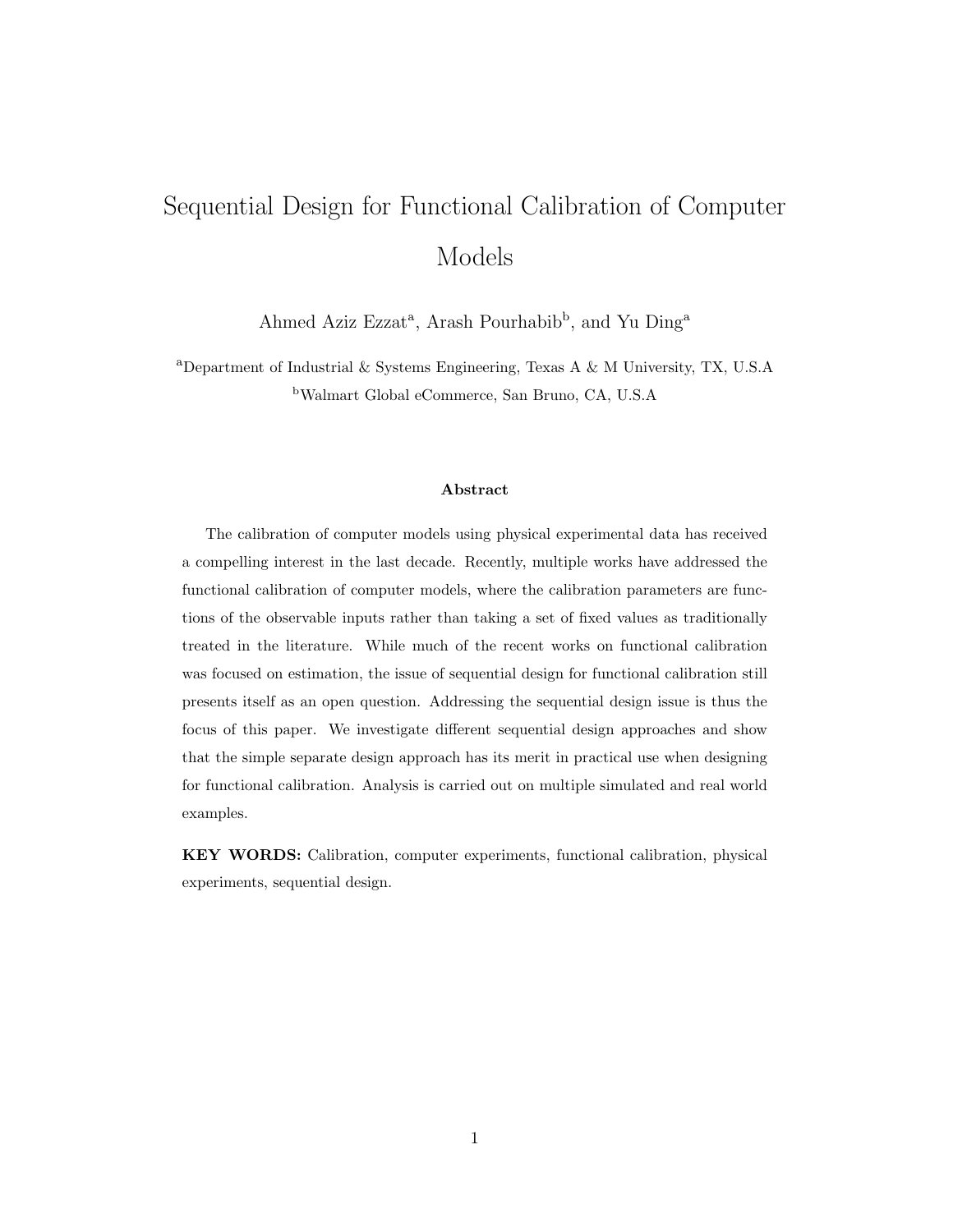# Sequential Design for Functional Calibration of Computer Models

Ahmed Aziz Ezzat<sup>a</sup>, Arash Pourhabib<sup>b</sup>, and Yu Ding<sup>a</sup>

<sup>a</sup>Department of Industrial & Systems Engineering, Texas A & M University, TX, U.S.A <sup>b</sup>Walmart Global eCommerce, San Bruno, CA, U.S.A

#### Abstract

The calibration of computer models using physical experimental data has received a compelling interest in the last decade. Recently, multiple works have addressed the functional calibration of computer models, where the calibration parameters are functions of the observable inputs rather than taking a set of fixed values as traditionally treated in the literature. While much of the recent works on functional calibration was focused on estimation, the issue of sequential design for functional calibration still presents itself as an open question. Addressing the sequential design issue is thus the focus of this paper. We investigate different sequential design approaches and show that the simple separate design approach has its merit in practical use when designing for functional calibration. Analysis is carried out on multiple simulated and real world examples.

KEY WORDS: Calibration, computer experiments, functional calibration, physical experiments, sequential design.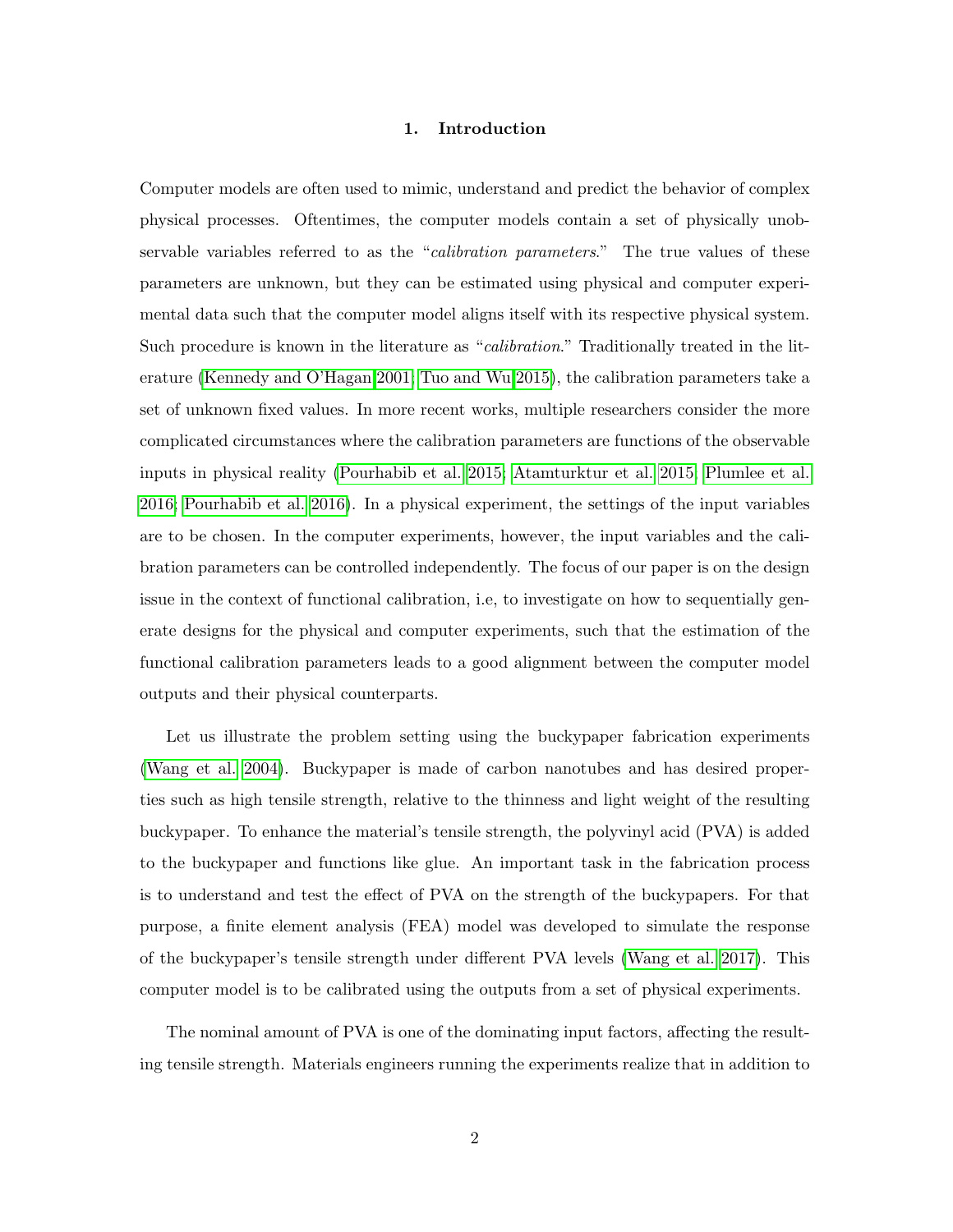# 1. Introduction

Computer models are often used to mimic, understand and predict the behavior of complex physical processes. Oftentimes, the computer models contain a set of physically unobservable variables referred to as the "*calibration parameters*." The true values of these parameters are unknown, but they can be estimated using physical and computer experimental data such that the computer model aligns itself with its respective physical system. Such procedure is known in the literature as "calibration." Traditionally treated in the literature [\(Kennedy and O'Hagan 2001;](#page-26-0) [Tuo and Wu 2015\)](#page-27-0), the calibration parameters take a set of unknown fixed values. In more recent works, multiple researchers consider the more complicated circumstances where the calibration parameters are functions of the observable inputs in physical reality [\(Pourhabib et al. 2015;](#page-26-1) [Atamturktur et al. 2015;](#page-25-0) [Plumlee et al.](#page-26-2) [2016;](#page-26-2) [Pourhabib et al. 2016\)](#page-26-3). In a physical experiment, the settings of the input variables are to be chosen. In the computer experiments, however, the input variables and the calibration parameters can be controlled independently. The focus of our paper is on the design issue in the context of functional calibration, i.e, to investigate on how to sequentially generate designs for the physical and computer experiments, such that the estimation of the functional calibration parameters leads to a good alignment between the computer model outputs and their physical counterparts.

Let us illustrate the problem setting using the buckypaper fabrication experiments [\(Wang et al. 2004\)](#page-27-1). Buckypaper is made of carbon nanotubes and has desired properties such as high tensile strength, relative to the thinness and light weight of the resulting buckypaper. To enhance the material's tensile strength, the polyvinyl acid (PVA) is added to the buckypaper and functions like glue. An important task in the fabrication process is to understand and test the effect of PVA on the strength of the buckypapers. For that purpose, a finite element analysis (FEA) model was developed to simulate the response of the buckypaper's tensile strength under different PVA levels [\(Wang et al. 2017\)](#page-27-2). This computer model is to be calibrated using the outputs from a set of physical experiments.

The nominal amount of PVA is one of the dominating input factors, affecting the resulting tensile strength. Materials engineers running the experiments realize that in addition to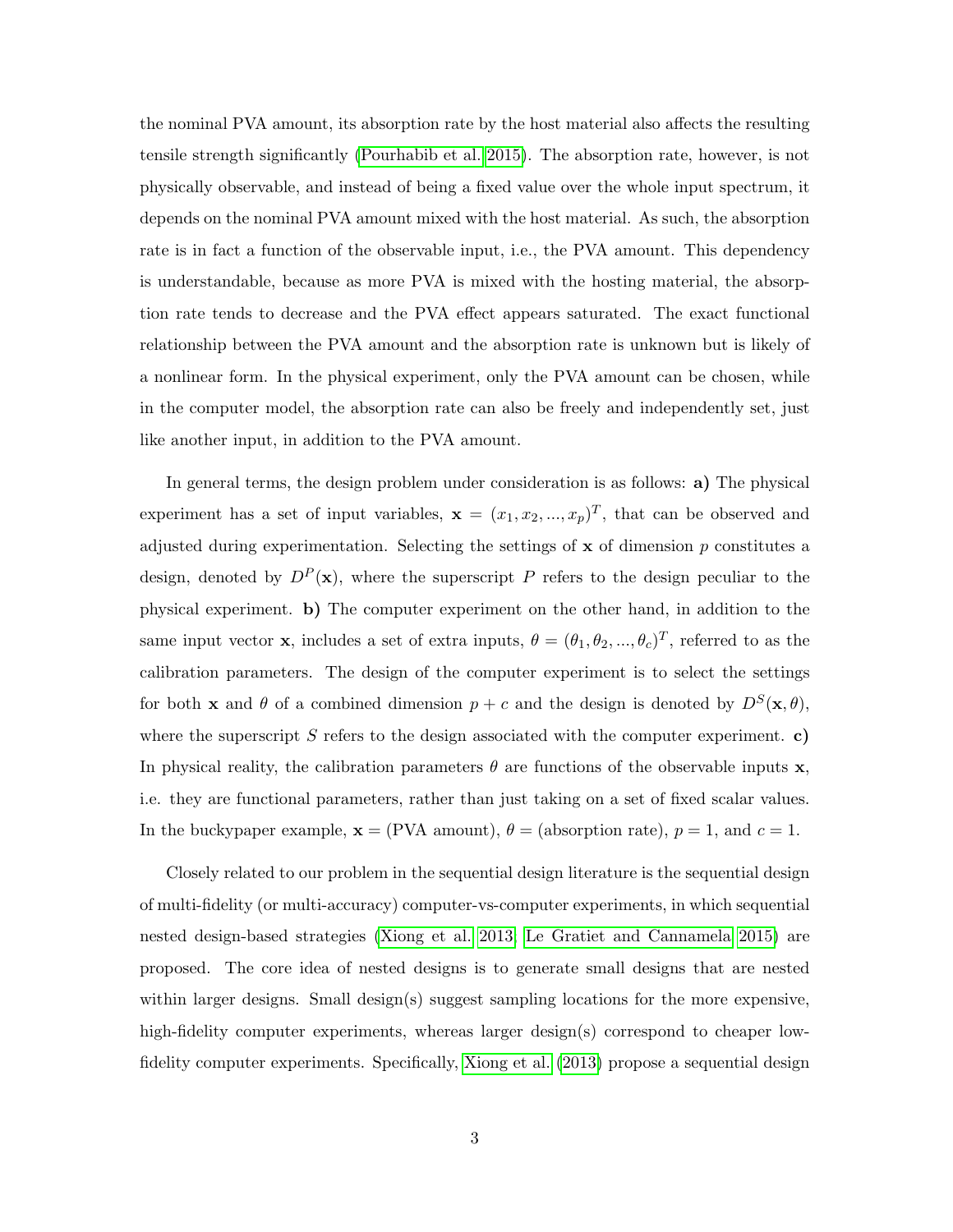the nominal PVA amount, its absorption rate by the host material also affects the resulting tensile strength significantly [\(Pourhabib et al. 2015\)](#page-26-1). The absorption rate, however, is not physically observable, and instead of being a fixed value over the whole input spectrum, it depends on the nominal PVA amount mixed with the host material. As such, the absorption rate is in fact a function of the observable input, i.e., the PVA amount. This dependency is understandable, because as more PVA is mixed with the hosting material, the absorption rate tends to decrease and the PVA effect appears saturated. The exact functional relationship between the PVA amount and the absorption rate is unknown but is likely of a nonlinear form. In the physical experiment, only the PVA amount can be chosen, while in the computer model, the absorption rate can also be freely and independently set, just like another input, in addition to the PVA amount.

In general terms, the design problem under consideration is as follows: a) The physical experiment has a set of input variables,  $\mathbf{x} = (x_1, x_2, ..., x_p)^T$ , that can be observed and adjusted during experimentation. Selecting the settings of  $x$  of dimension  $p$  constitutes a design, denoted by  $D^P(\mathbf{x})$ , where the superscript P refers to the design peculiar to the physical experiment. b) The computer experiment on the other hand, in addition to the same input vector **x**, includes a set of extra inputs,  $\theta = (\theta_1, \theta_2, ..., \theta_c)^T$ , referred to as the calibration parameters. The design of the computer experiment is to select the settings for both **x** and  $\theta$  of a combined dimension  $p + c$  and the design is denoted by  $D^{S}(\mathbf{x}, \theta)$ , where the superscript  $S$  refers to the design associated with the computer experiment. c) In physical reality, the calibration parameters  $\theta$  are functions of the observable inputs  $\mathbf{x}$ , i.e. they are functional parameters, rather than just taking on a set of fixed scalar values. In the buckypaper example,  $\mathbf{x} = (PVA amount)$ ,  $\theta = (absorption rate)$ ,  $p = 1$ , and  $c = 1$ .

Closely related to our problem in the sequential design literature is the sequential design of multi-fidelity (or multi-accuracy) computer-vs-computer experiments, in which sequential nested design-based strategies [\(Xiong et al. 2013;](#page-28-0) [Le Gratiet and Cannamela 2015\)](#page-26-4) are proposed. The core idea of nested designs is to generate small designs that are nested within larger designs. Small design(s) suggest sampling locations for the more expensive, high-fidelity computer experiments, whereas larger design(s) correspond to cheaper lowfidelity computer experiments. Specifically, [Xiong et al.](#page-28-0) [\(2013\)](#page-28-0) propose a sequential design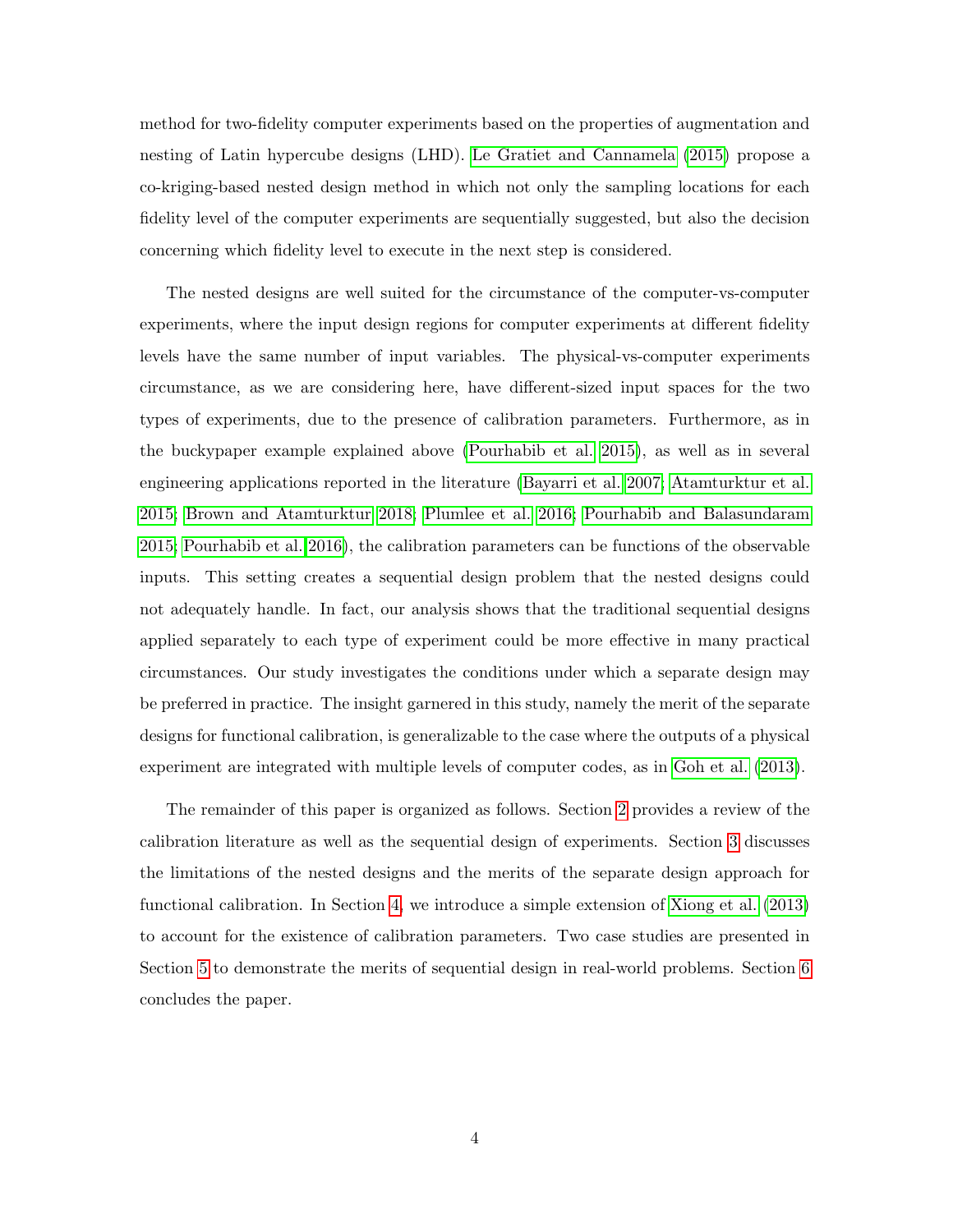method for two-fidelity computer experiments based on the properties of augmentation and nesting of Latin hypercube designs (LHD). [Le Gratiet and Cannamela](#page-26-4) [\(2015\)](#page-26-4) propose a co-kriging-based nested design method in which not only the sampling locations for each fidelity level of the computer experiments are sequentially suggested, but also the decision concerning which fidelity level to execute in the next step is considered.

The nested designs are well suited for the circumstance of the computer-vs-computer experiments, where the input design regions for computer experiments at different fidelity levels have the same number of input variables. The physical-vs-computer experiments circumstance, as we are considering here, have different-sized input spaces for the two types of experiments, due to the presence of calibration parameters. Furthermore, as in the buckypaper example explained above [\(Pourhabib et al. 2015\)](#page-26-1), as well as in several engineering applications reported in the literature [\(Bayarri et al. 2007;](#page-25-1) [Atamturktur et al.](#page-25-0) [2015;](#page-25-0) [Brown and Atamturktur 2018;](#page-25-2) [Plumlee et al. 2016;](#page-26-2) [Pourhabib and Balasundaram](#page-26-5) [2015;](#page-26-5) [Pourhabib et al. 2016\)](#page-26-3), the calibration parameters can be functions of the observable inputs. This setting creates a sequential design problem that the nested designs could not adequately handle. In fact, our analysis shows that the traditional sequential designs applied separately to each type of experiment could be more effective in many practical circumstances. Our study investigates the conditions under which a separate design may be preferred in practice. The insight garnered in this study, namely the merit of the separate designs for functional calibration, is generalizable to the case where the outputs of a physical experiment are integrated with multiple levels of computer codes, as in [Goh et al.](#page-25-3) [\(2013\)](#page-25-3).

<span id="page-3-0"></span>The remainder of this paper is organized as follows. Section [2](#page-3-0) provides a review of the calibration literature as well as the sequential design of experiments. Section [3](#page-7-0) discusses the limitations of the nested designs and the merits of the separate design approach for functional calibration. In Section [4,](#page-18-0) we introduce a simple extension of [Xiong et al.](#page-28-0) [\(2013\)](#page-28-0) to account for the existence of calibration parameters. Two case studies are presented in Section [5](#page-19-0) to demonstrate the merits of sequential design in real-world problems. Section [6](#page-23-0) concludes the paper.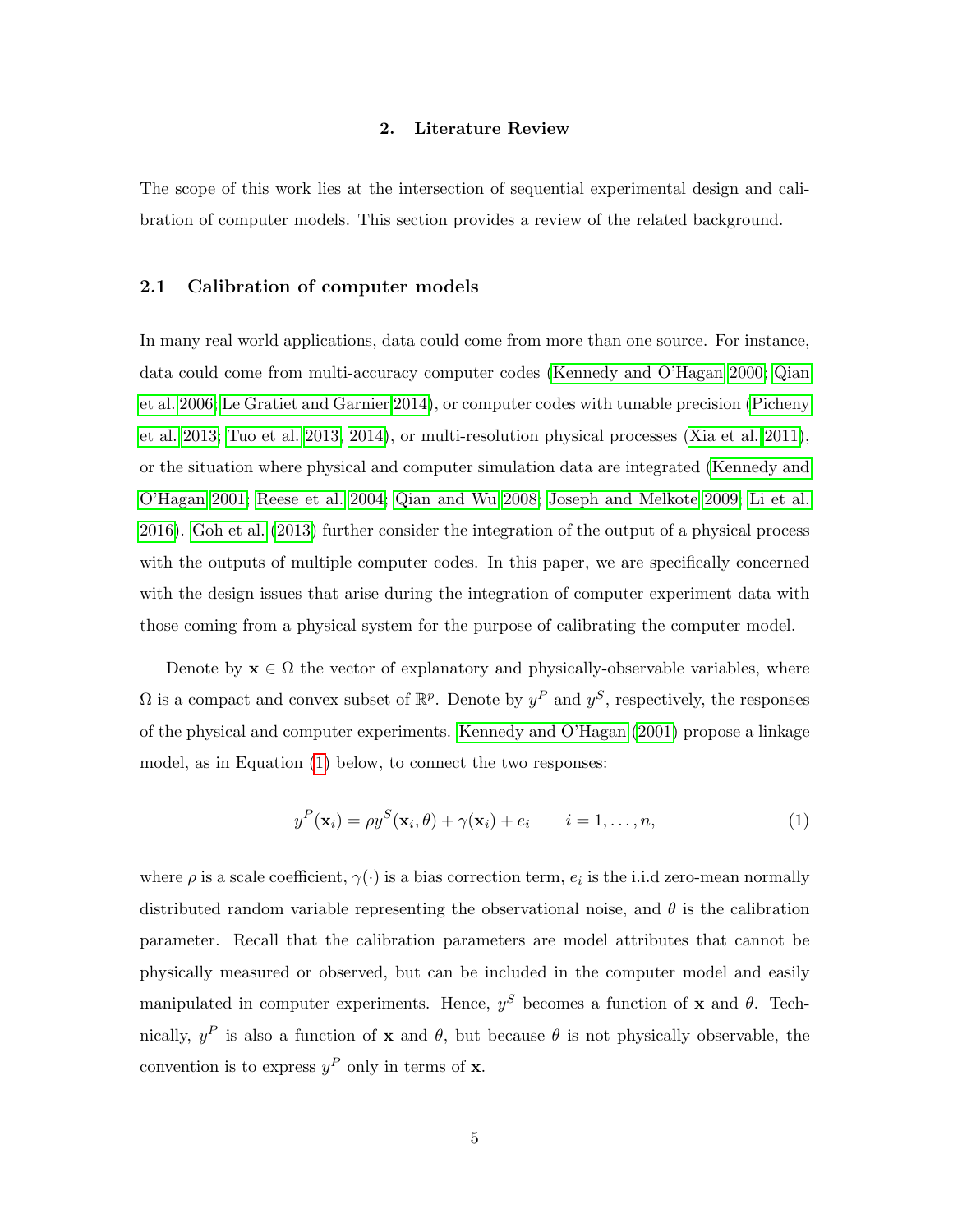#### 2. Literature Review

The scope of this work lies at the intersection of sequential experimental design and calibration of computer models. This section provides a review of the related background.

## 2.1 Calibration of computer models

In many real world applications, data could come from more than one source. For instance, data could come from multi-accuracy computer codes [\(Kennedy and O'Hagan 2000;](#page-26-6) [Qian](#page-27-3) [et al. 2006;](#page-27-3) [Le Gratiet and Garnier 2014\)](#page-26-7), or computer codes with tunable precision [\(Picheny](#page-26-8) [et al. 2013;](#page-26-8) [Tuo et al. 2013,](#page-27-4) [2014\)](#page-27-5), or multi-resolution physical processes [\(Xia et al. 2011\)](#page-28-1), or the situation where physical and computer simulation data are integrated [\(Kennedy and](#page-26-0) [O'Hagan 2001;](#page-26-0) [Reese et al. 2004;](#page-27-6) [Qian and Wu 2008;](#page-27-7) [Joseph and Melkote 2009;](#page-25-4) [Li et al.](#page-26-9) [2016\)](#page-26-9). [Goh et al.](#page-25-3) [\(2013\)](#page-25-3) further consider the integration of the output of a physical process with the outputs of multiple computer codes. In this paper, we are specifically concerned with the design issues that arise during the integration of computer experiment data with those coming from a physical system for the purpose of calibrating the computer model.

Denote by  $\mathbf{x} \in \Omega$  the vector of explanatory and physically-observable variables, where  $\Omega$  is a compact and convex subset of  $\mathbb{R}^p$ . Denote by  $y^P$  and  $y^S$ , respectively, the responses of the physical and computer experiments. [Kennedy and O'Hagan](#page-26-0) [\(2001\)](#page-26-0) propose a linkage model, as in Equation [\(1\)](#page-4-0) below, to connect the two responses:

<span id="page-4-0"></span>
$$
y^{P}(\mathbf{x}_{i}) = \rho y^{S}(\mathbf{x}_{i}, \theta) + \gamma(\mathbf{x}_{i}) + e_{i} \qquad i = 1, \dots, n,
$$
\n(1)

where  $\rho$  is a scale coefficient,  $\gamma(\cdot)$  is a bias correction term,  $e_i$  is the i.i.d zero-mean normally distributed random variable representing the observational noise, and  $\theta$  is the calibration parameter. Recall that the calibration parameters are model attributes that cannot be physically measured or observed, but can be included in the computer model and easily manipulated in computer experiments. Hence,  $y^S$  becomes a function of x and  $\theta$ . Technically,  $y^P$  is also a function of **x** and  $\theta$ , but because  $\theta$  is not physically observable, the convention is to express  $y^P$  only in terms of **x**.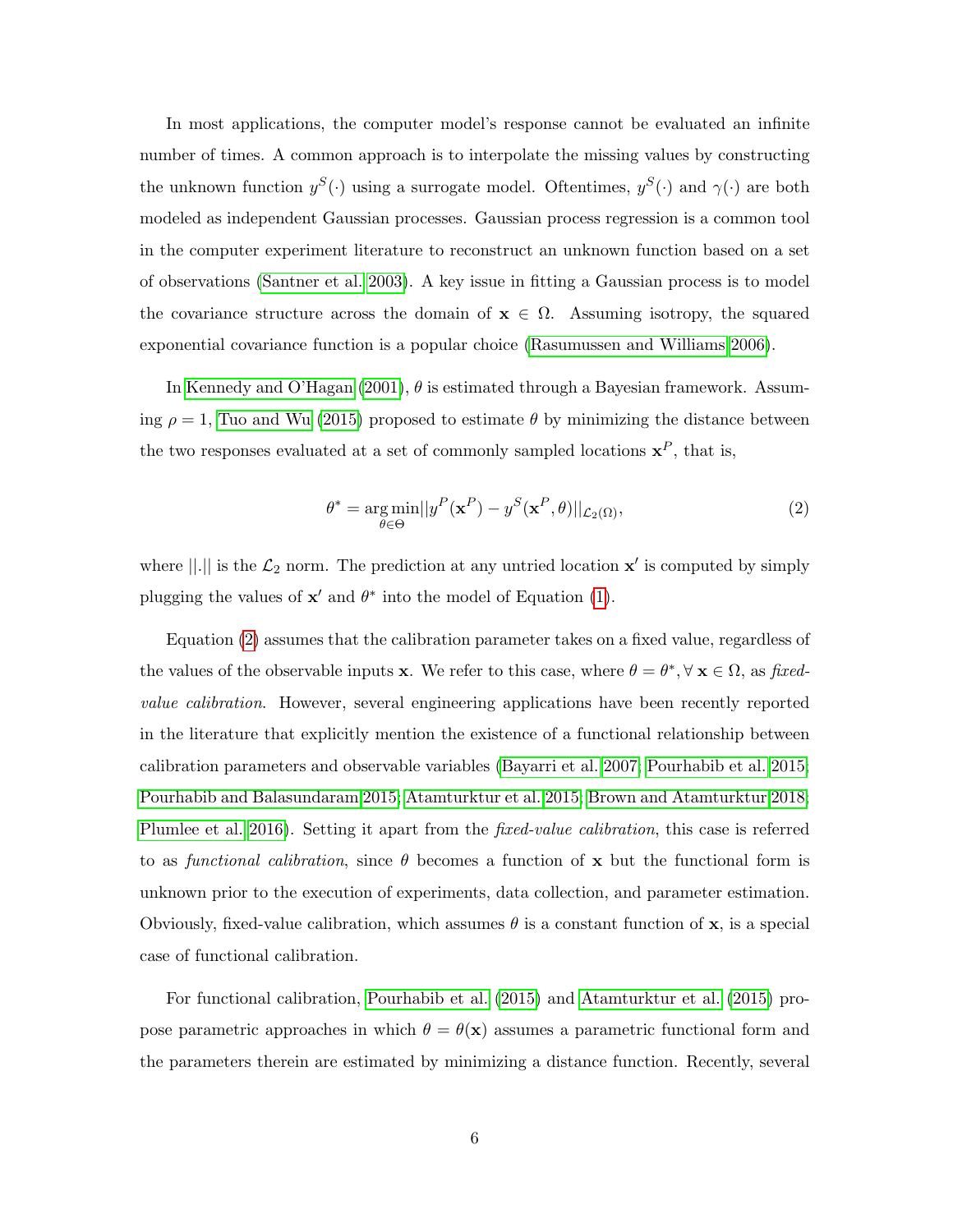In most applications, the computer model's response cannot be evaluated an infinite number of times. A common approach is to interpolate the missing values by constructing the unknown function  $y^S(\cdot)$  using a surrogate model. Oftentimes,  $y^S(\cdot)$  and  $\gamma(\cdot)$  are both modeled as independent Gaussian processes. Gaussian process regression is a common tool in the computer experiment literature to reconstruct an unknown function based on a set of observations [\(Santner et al. 2003\)](#page-27-8). A key issue in fitting a Gaussian process is to model the covariance structure across the domain of  $\mathbf{x} \in \Omega$ . Assuming isotropy, the squared exponential covariance function is a popular choice [\(Rasumussen and Williams 2006\)](#page-27-9).

In [Kennedy and O'Hagan](#page-26-0) [\(2001\)](#page-26-0),  $\theta$  is estimated through a Bayesian framework. Assuming  $\rho = 1$ , [Tuo and Wu](#page-27-0) [\(2015\)](#page-27-0) proposed to estimate  $\theta$  by minimizing the distance between the two responses evaluated at a set of commonly sampled locations  $x^P$ , that is,

<span id="page-5-0"></span>
$$
\theta^* = \underset{\theta \in \Theta}{\arg \min} ||y^P(\mathbf{x}^P) - y^S(\mathbf{x}^P, \theta)||_{\mathcal{L}_2(\Omega)},
$$
\n(2)

where  $||.||$  is the  $\mathcal{L}_2$  norm. The prediction at any untried location  $\mathbf{x}'$  is computed by simply plugging the values of  $\mathbf{x}'$  and  $\theta^*$  into the model of Equation [\(1\)](#page-4-0).

Equation [\(2\)](#page-5-0) assumes that the calibration parameter takes on a fixed value, regardless of the values of the observable inputs **x**. We refer to this case, where  $\theta = \theta^*$ ,  $\forall$  **x**  $\in \Omega$ , as fixedvalue calibration. However, several engineering applications have been recently reported in the literature that explicitly mention the existence of a functional relationship between calibration parameters and observable variables [\(Bayarri et al. 2007;](#page-25-1) [Pourhabib et al. 2015;](#page-26-1) [Pourhabib and Balasundaram 2015;](#page-26-5) [Atamturktur et al. 2015;](#page-25-0) [Brown and Atamturktur 2018;](#page-25-2) [Plumlee et al. 2016\)](#page-26-2). Setting it apart from the *fixed-value calibration*, this case is referred to as functional calibration, since  $\theta$  becomes a function of x but the functional form is unknown prior to the execution of experiments, data collection, and parameter estimation. Obviously, fixed-value calibration, which assumes  $\theta$  is a constant function of x, is a special case of functional calibration.

For functional calibration, [Pourhabib et al.](#page-26-1) [\(2015\)](#page-26-1) and [Atamturktur et al.](#page-25-0) [\(2015\)](#page-25-0) propose parametric approaches in which  $\theta = \theta(\mathbf{x})$  assumes a parametric functional form and the parameters therein are estimated by minimizing a distance function. Recently, several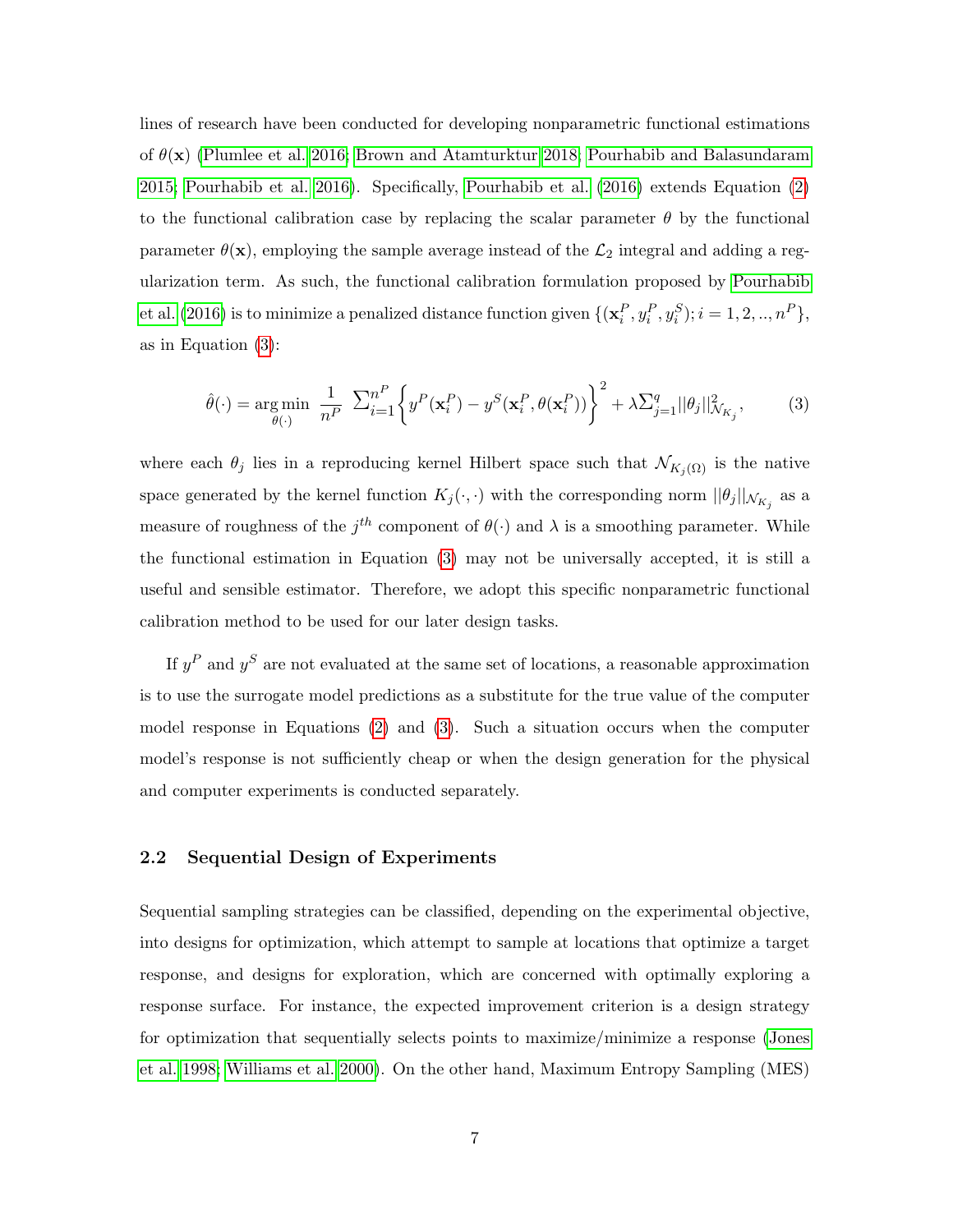lines of research have been conducted for developing nonparametric functional estimations of  $\theta(\mathbf{x})$  [\(Plumlee et al. 2016;](#page-26-2) [Brown and Atamturktur 2018;](#page-25-2) [Pourhabib and Balasundaram](#page-26-5) [2015;](#page-26-5) [Pourhabib et al. 2016\)](#page-26-3). Specifically, [Pourhabib et al.](#page-26-3) [\(2016\)](#page-26-3) extends Equation [\(2\)](#page-5-0) to the functional calibration case by replacing the scalar parameter  $\theta$  by the functional parameter  $\theta(\mathbf{x})$ , employing the sample average instead of the  $\mathcal{L}_2$  integral and adding a regularization term. As such, the functional calibration formulation proposed by [Pourhabib](#page-26-3) [et al.](#page-26-3) [\(2016\)](#page-26-3) is to minimize a penalized distance function given  $\{(\mathbf{x}_i^P, y_i^P, y_i^S); i = 1, 2, ..., n^P\},\$ as in Equation [\(3\)](#page-6-0):

<span id="page-6-0"></span>
$$
\hat{\theta}(\cdot) = \underset{\theta(\cdot)}{\text{arg min}} \frac{1}{n^P} \sum_{i=1}^{n^P} \left\{ y^P(\mathbf{x}_i^P) - y^S(\mathbf{x}_i^P, \theta(\mathbf{x}_i^P)) \right\}^2 + \lambda \sum_{j=1}^{q} ||\theta_j||^2_{\mathcal{N}_{K_j}},\tag{3}
$$

where each  $\theta_j$  lies in a reproducing kernel Hilbert space such that  $\mathcal{N}_{K_i(\Omega)}$  is the native space generated by the kernel function  $K_j(\cdot, \cdot)$  with the corresponding norm  $||\theta_j||_{\mathcal{N}_{K_j}}$  as a measure of roughness of the  $j^{th}$  component of  $\theta(\cdot)$  and  $\lambda$  is a smoothing parameter. While the functional estimation in Equation [\(3\)](#page-6-0) may not be universally accepted, it is still a useful and sensible estimator. Therefore, we adopt this specific nonparametric functional calibration method to be used for our later design tasks.

If  $y^P$  and  $y^S$  are not evaluated at the same set of locations, a reasonable approximation is to use the surrogate model predictions as a substitute for the true value of the computer model response in Equations [\(2\)](#page-5-0) and [\(3\)](#page-6-0). Such a situation occurs when the computer model's response is not sufficiently cheap or when the design generation for the physical and computer experiments is conducted separately.

### 2.2 Sequential Design of Experiments

Sequential sampling strategies can be classified, depending on the experimental objective, into designs for optimization, which attempt to sample at locations that optimize a target response, and designs for exploration, which are concerned with optimally exploring a response surface. For instance, the expected improvement criterion is a design strategy for optimization that sequentially selects points to maximize/minimize a response [\(Jones](#page-25-5) [et al. 1998;](#page-25-5) [Williams et al. 2000\)](#page-27-10). On the other hand, Maximum Entropy Sampling (MES)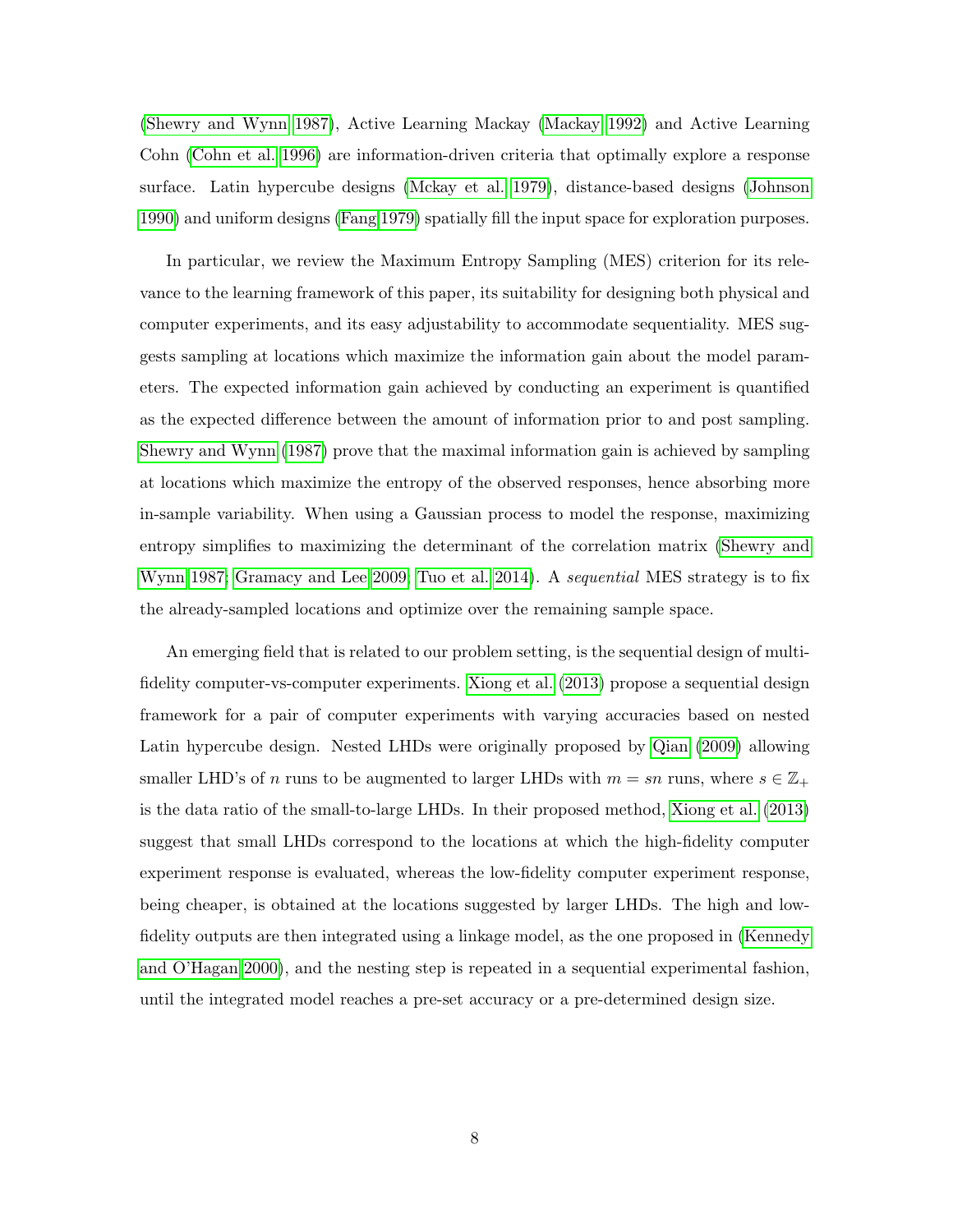[\(Shewry and Wynn 1987\)](#page-27-11), Active Learning Mackay [\(Mackay 1992\)](#page-26-10) and Active Learning Cohn [\(Cohn et al. 1996\)](#page-25-6) are information-driven criteria that optimally explore a response surface. Latin hypercube designs [\(Mckay et al. 1979\)](#page-26-11), distance-based designs [\(Johnson](#page-25-7) [1990\)](#page-25-7) and uniform designs [\(Fang 1979\)](#page-25-8) spatially fill the input space for exploration purposes.

In particular, we review the Maximum Entropy Sampling (MES) criterion for its relevance to the learning framework of this paper, its suitability for designing both physical and computer experiments, and its easy adjustability to accommodate sequentiality. MES suggests sampling at locations which maximize the information gain about the model parameters. The expected information gain achieved by conducting an experiment is quantified as the expected difference between the amount of information prior to and post sampling. [Shewry and Wynn](#page-27-11) [\(1987\)](#page-27-11) prove that the maximal information gain is achieved by sampling at locations which maximize the entropy of the observed responses, hence absorbing more in-sample variability. When using a Gaussian process to model the response, maximizing entropy simplifies to maximizing the determinant of the correlation matrix [\(Shewry and](#page-27-11) [Wynn 1987;](#page-27-11) [Gramacy and Lee 2009;](#page-25-9) [Tuo et al. 2014\)](#page-27-5). A *sequential* MES strategy is to fix the already-sampled locations and optimize over the remaining sample space.

<span id="page-7-0"></span>An emerging field that is related to our problem setting, is the sequential design of multifidelity computer-vs-computer experiments. [Xiong et al.](#page-28-0) [\(2013\)](#page-28-0) propose a sequential design framework for a pair of computer experiments with varying accuracies based on nested Latin hypercube design. Nested LHDs were originally proposed by [Qian](#page-27-12) [\(2009\)](#page-27-12) allowing smaller LHD's of n runs to be augmented to larger LHDs with  $m = sn$  runs, where  $s \in \mathbb{Z}_+$ is the data ratio of the small-to-large LHDs. In their proposed method, [Xiong et al.](#page-28-0) [\(2013\)](#page-28-0) suggest that small LHDs correspond to the locations at which the high-fidelity computer experiment response is evaluated, whereas the low-fidelity computer experiment response, being cheaper, is obtained at the locations suggested by larger LHDs. The high and lowfidelity outputs are then integrated using a linkage model, as the one proposed in [\(Kennedy](#page-26-6) [and O'Hagan 2000\)](#page-26-6), and the nesting step is repeated in a sequential experimental fashion, until the integrated model reaches a pre-set accuracy or a pre-determined design size.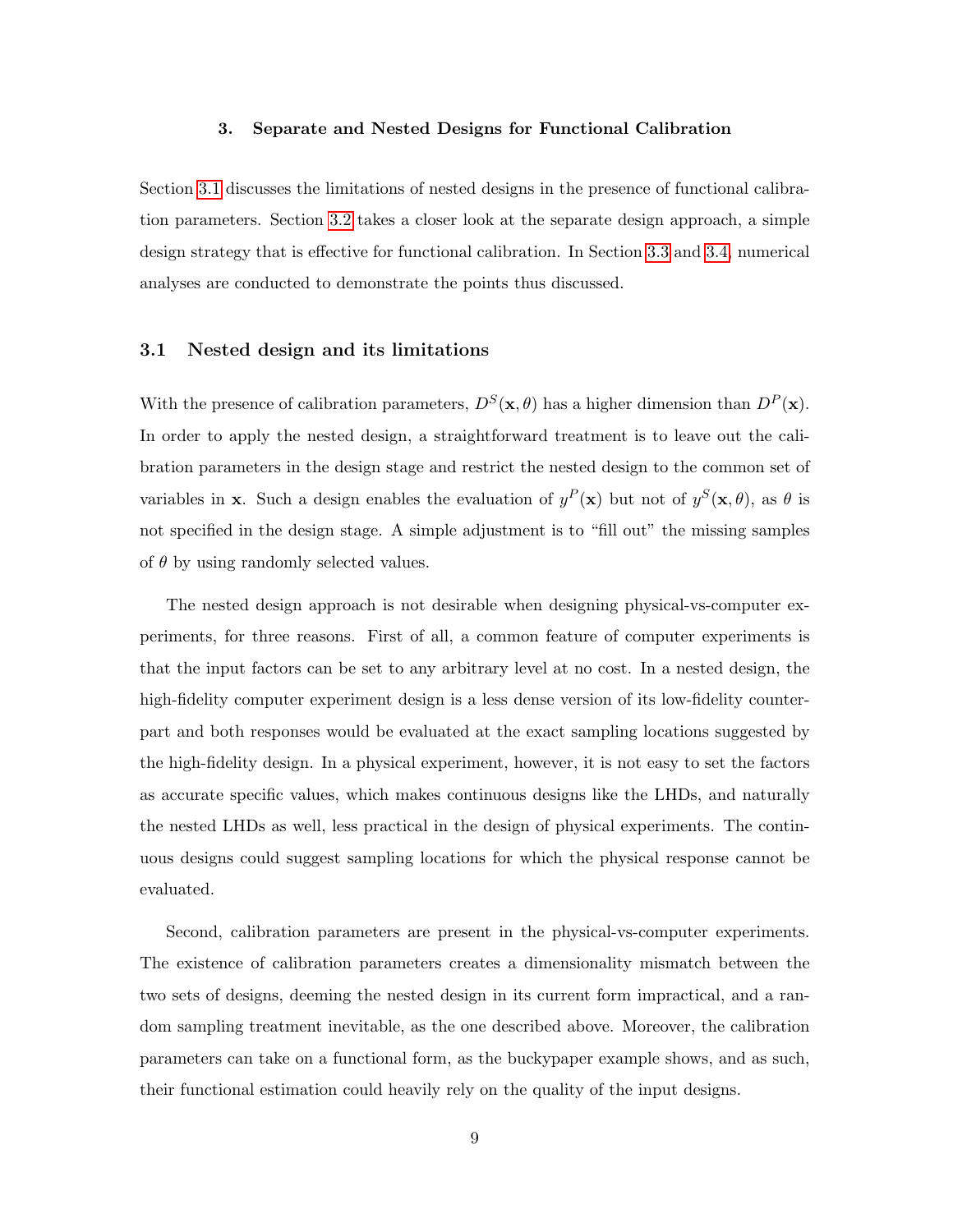#### 3. Separate and Nested Designs for Functional Calibration

Section [3.1](#page-8-0) discusses the limitations of nested designs in the presence of functional calibration parameters. Section [3.2](#page-9-0) takes a closer look at the separate design approach, a simple design strategy that is effective for functional calibration. In Section [3.3](#page-12-0) and [3.4,](#page-16-0) numerical analyses are conducted to demonstrate the points thus discussed.

# <span id="page-8-0"></span>3.1 Nested design and its limitations

With the presence of calibration parameters,  $D^{S}(\mathbf{x}, \theta)$  has a higher dimension than  $D^{P}(\mathbf{x})$ . In order to apply the nested design, a straightforward treatment is to leave out the calibration parameters in the design stage and restrict the nested design to the common set of variables in **x**. Such a design enables the evaluation of  $y^P(\mathbf{x})$  but not of  $y^S(\mathbf{x},\theta)$ , as  $\theta$  is not specified in the design stage. A simple adjustment is to "fill out" the missing samples of  $\theta$  by using randomly selected values.

The nested design approach is not desirable when designing physical-vs-computer experiments, for three reasons. First of all, a common feature of computer experiments is that the input factors can be set to any arbitrary level at no cost. In a nested design, the high-fidelity computer experiment design is a less dense version of its low-fidelity counterpart and both responses would be evaluated at the exact sampling locations suggested by the high-fidelity design. In a physical experiment, however, it is not easy to set the factors as accurate specific values, which makes continuous designs like the LHDs, and naturally the nested LHDs as well, less practical in the design of physical experiments. The continuous designs could suggest sampling locations for which the physical response cannot be evaluated.

Second, calibration parameters are present in the physical-vs-computer experiments. The existence of calibration parameters creates a dimensionality mismatch between the two sets of designs, deeming the nested design in its current form impractical, and a random sampling treatment inevitable, as the one described above. Moreover, the calibration parameters can take on a functional form, as the buckypaper example shows, and as such, their functional estimation could heavily rely on the quality of the input designs.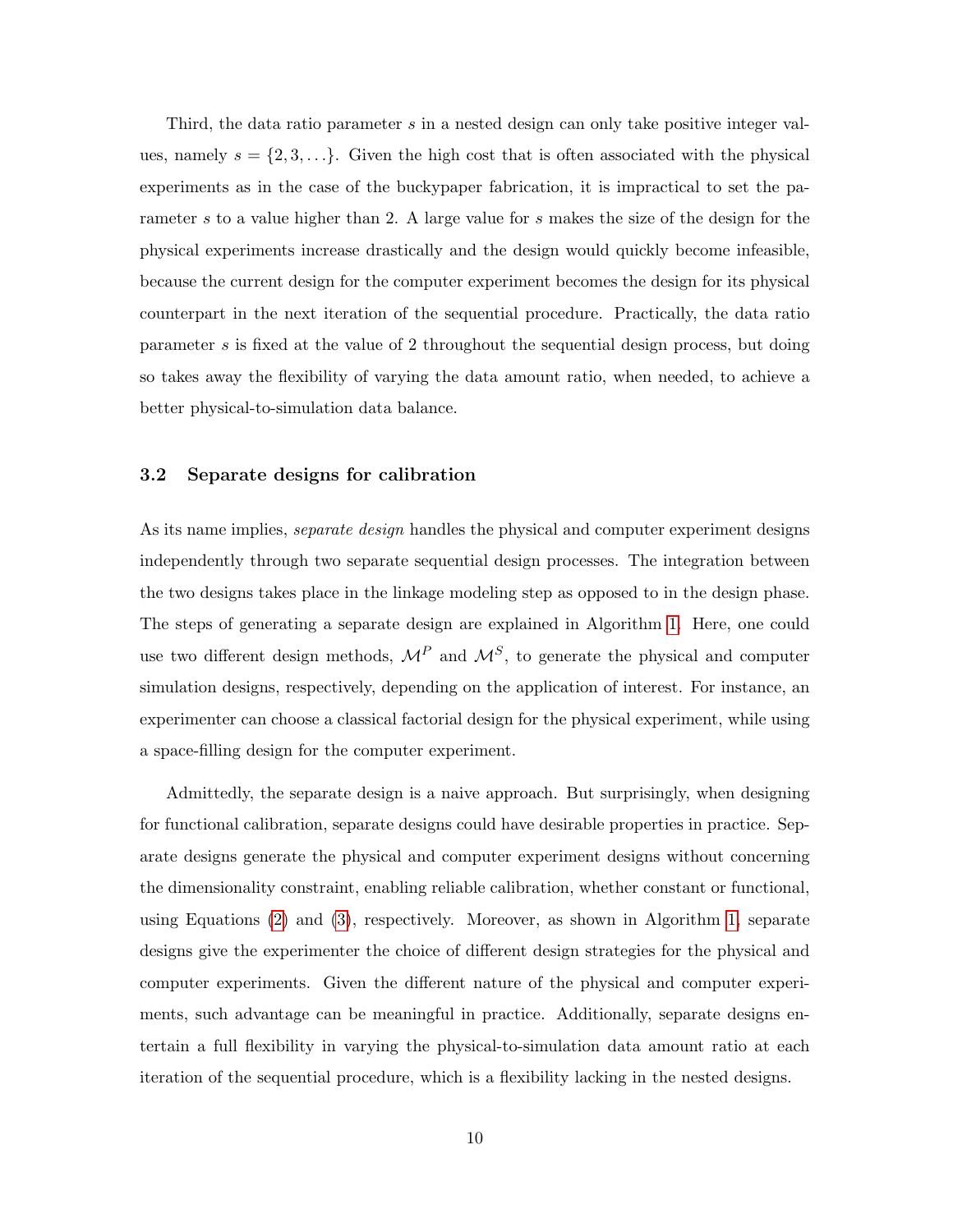Third, the data ratio parameter s in a nested design can only take positive integer values, namely  $s = \{2, 3, \ldots\}$ . Given the high cost that is often associated with the physical experiments as in the case of the buckypaper fabrication, it is impractical to set the parameter s to a value higher than 2. A large value for s makes the size of the design for the physical experiments increase drastically and the design would quickly become infeasible, because the current design for the computer experiment becomes the design for its physical counterpart in the next iteration of the sequential procedure. Practically, the data ratio parameter s is fixed at the value of 2 throughout the sequential design process, but doing so takes away the flexibility of varying the data amount ratio, when needed, to achieve a better physical-to-simulation data balance.

# <span id="page-9-0"></span>3.2 Separate designs for calibration

As its name implies, *separate design* handles the physical and computer experiment designs independently through two separate sequential design processes. The integration between the two designs takes place in the linkage modeling step as opposed to in the design phase. The steps of generating a separate design are explained in Algorithm [1.](#page-10-0) Here, one could use two different design methods,  $\mathcal{M}^P$  and  $\mathcal{M}^S$ , to generate the physical and computer simulation designs, respectively, depending on the application of interest. For instance, an experimenter can choose a classical factorial design for the physical experiment, while using a space-filling design for the computer experiment.

Admittedly, the separate design is a naive approach. But surprisingly, when designing for functional calibration, separate designs could have desirable properties in practice. Separate designs generate the physical and computer experiment designs without concerning the dimensionality constraint, enabling reliable calibration, whether constant or functional, using Equations [\(2\)](#page-5-0) and [\(3\)](#page-6-0), respectively. Moreover, as shown in Algorithm [1,](#page-10-0) separate designs give the experimenter the choice of different design strategies for the physical and computer experiments. Given the different nature of the physical and computer experiments, such advantage can be meaningful in practice. Additionally, separate designs entertain a full flexibility in varying the physical-to-simulation data amount ratio at each iteration of the sequential procedure, which is a flexibility lacking in the nested designs.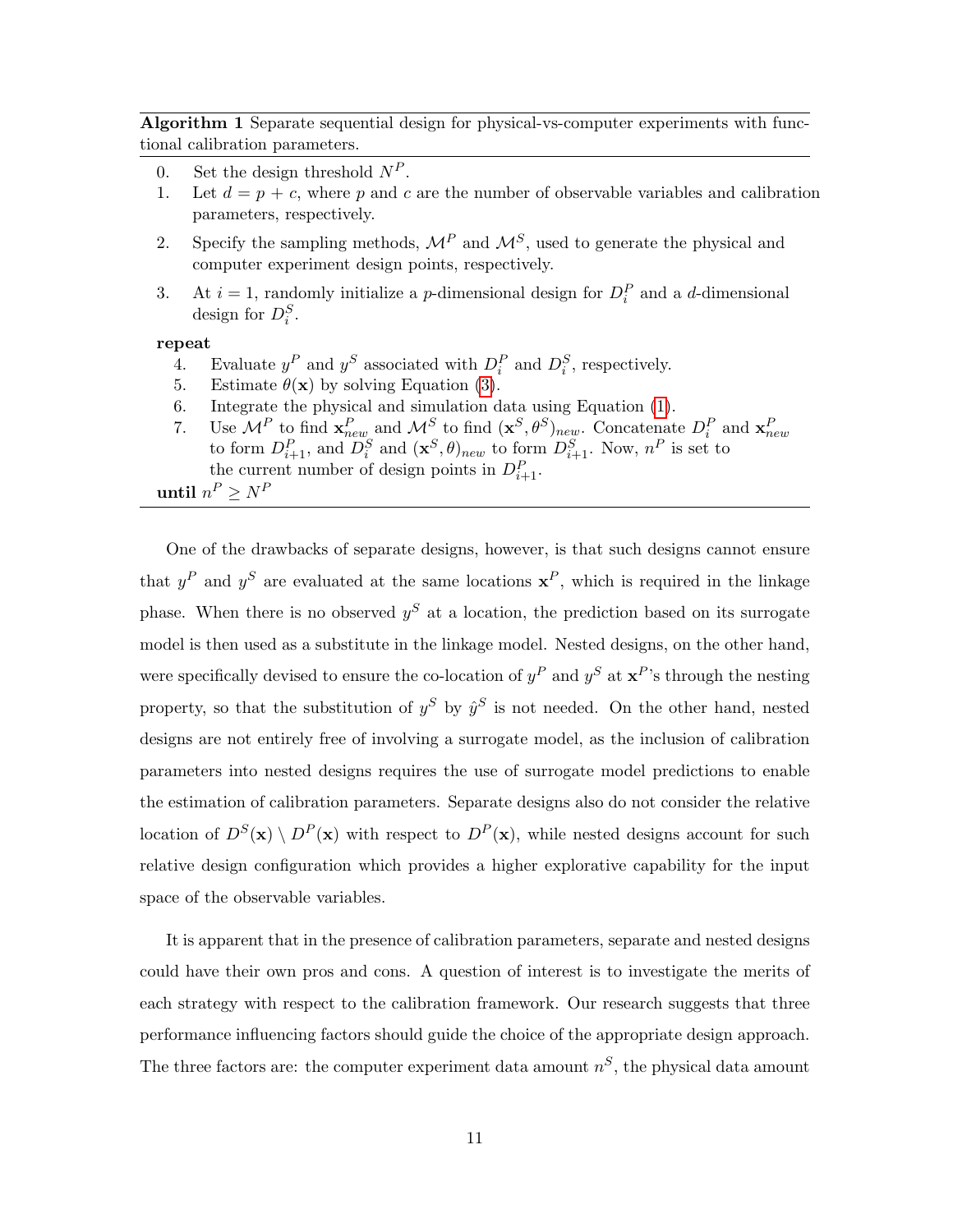<span id="page-10-0"></span>Algorithm 1 Separate sequential design for physical-vs-computer experiments with functional calibration parameters.

- 0. Set the design threshold  $N^P$ .
- 1. Let  $d = p + c$ , where p and c are the number of observable variables and calibration parameters, respectively.
- 2. Specify the sampling methods,  $\mathcal{M}^P$  and  $\mathcal{M}^S$ , used to generate the physical and computer experiment design points, respectively.
- 3. At  $i = 1$ , randomly initialize a *p*-dimensional design for  $D_i^P$  and a *d*-dimensional design for  $D_i^S$ .

repeat

- 4. Evaluate  $y^P$  and  $y^S$  associated with  $D_i^P$  and  $D_i^S$ , respectively.
- 5. Estimate  $\theta(\mathbf{x})$  by solving Equation [\(3\)](#page-6-0).
- 6. Integrate the physical and simulation data using Equation [\(1\)](#page-4-0).
- 7. Use  $\mathcal{M}^P$  to find  $\mathbf{x}_{new}^P$  and  $\mathcal{M}^S$  to find  $(\mathbf{x}^S, \theta^S)_{new}$ . Concatenate  $D_i^P$  and  $\mathbf{x}_{new}^P$  to form  $D_{i+1}^S$ , and  $D_i^S$  and  $(\mathbf{x}^S, \theta)_{new}$  to form  $D_{i+1}^S$ . Now,  $n^P$  is set to the current number of design points in  $D_{i+1}^P$ .

until  $n^P \ge N^P$ 

One of the drawbacks of separate designs, however, is that such designs cannot ensure that  $y^P$  and  $y^S$  are evaluated at the same locations  $x^P$ , which is required in the linkage phase. When there is no observed  $y<sup>S</sup>$  at a location, the prediction based on its surrogate model is then used as a substitute in the linkage model. Nested designs, on the other hand, were specifically devised to ensure the co-location of  $y^P$  and  $y^S$  at  $\mathbf{x}^P$ 's through the nesting property, so that the substitution of  $y^S$  by  $\hat{y}^S$  is not needed. On the other hand, nested designs are not entirely free of involving a surrogate model, as the inclusion of calibration parameters into nested designs requires the use of surrogate model predictions to enable the estimation of calibration parameters. Separate designs also do not consider the relative location of  $D^{S}(\mathbf{x}) \setminus D^{P}(\mathbf{x})$  with respect to  $D^{P}(\mathbf{x})$ , while nested designs account for such relative design configuration which provides a higher explorative capability for the input space of the observable variables.

It is apparent that in the presence of calibration parameters, separate and nested designs could have their own pros and cons. A question of interest is to investigate the merits of each strategy with respect to the calibration framework. Our research suggests that three performance influencing factors should guide the choice of the appropriate design approach. The three factors are: the computer experiment data amount  $n^S$ , the physical data amount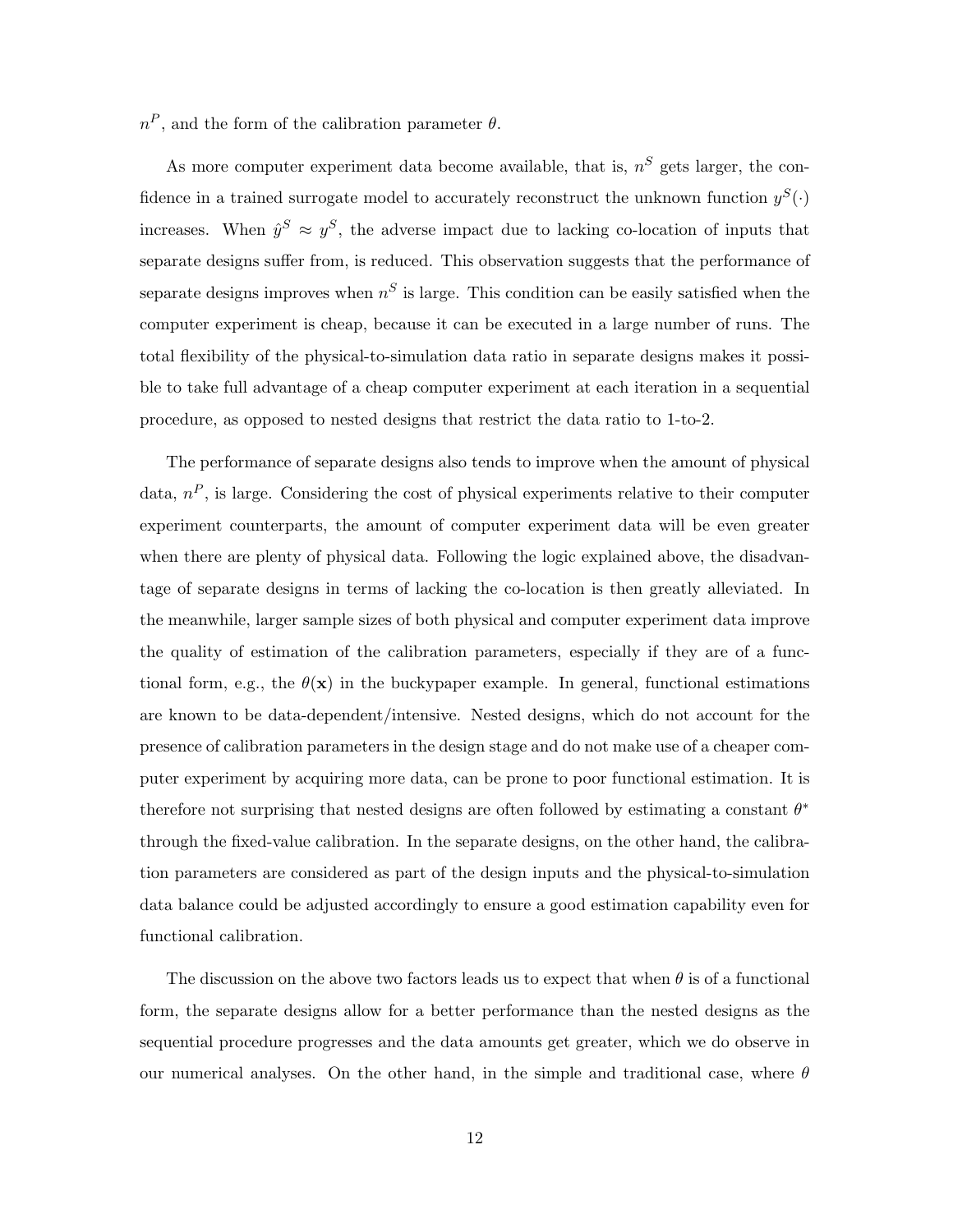$n^P$ , and the form of the calibration parameter  $\theta$ .

As more computer experiment data become available, that is,  $n<sup>S</sup>$  gets larger, the confidence in a trained surrogate model to accurately reconstruct the unknown function  $y^S(\cdot)$ increases. When  $\hat{y}^S \approx y^S$ , the adverse impact due to lacking co-location of inputs that separate designs suffer from, is reduced. This observation suggests that the performance of separate designs improves when  $n<sup>S</sup>$  is large. This condition can be easily satisfied when the computer experiment is cheap, because it can be executed in a large number of runs. The total flexibility of the physical-to-simulation data ratio in separate designs makes it possible to take full advantage of a cheap computer experiment at each iteration in a sequential procedure, as opposed to nested designs that restrict the data ratio to 1-to-2.

The performance of separate designs also tends to improve when the amount of physical data,  $n^P$ , is large. Considering the cost of physical experiments relative to their computer experiment counterparts, the amount of computer experiment data will be even greater when there are plenty of physical data. Following the logic explained above, the disadvantage of separate designs in terms of lacking the co-location is then greatly alleviated. In the meanwhile, larger sample sizes of both physical and computer experiment data improve the quality of estimation of the calibration parameters, especially if they are of a functional form, e.g., the  $\theta(\mathbf{x})$  in the buckypaper example. In general, functional estimations are known to be data-dependent/intensive. Nested designs, which do not account for the presence of calibration parameters in the design stage and do not make use of a cheaper computer experiment by acquiring more data, can be prone to poor functional estimation. It is therefore not surprising that nested designs are often followed by estimating a constant  $\theta^*$ through the fixed-value calibration. In the separate designs, on the other hand, the calibration parameters are considered as part of the design inputs and the physical-to-simulation data balance could be adjusted accordingly to ensure a good estimation capability even for functional calibration.

The discussion on the above two factors leads us to expect that when  $\theta$  is of a functional form, the separate designs allow for a better performance than the nested designs as the sequential procedure progresses and the data amounts get greater, which we do observe in our numerical analyses. On the other hand, in the simple and traditional case, where  $\theta$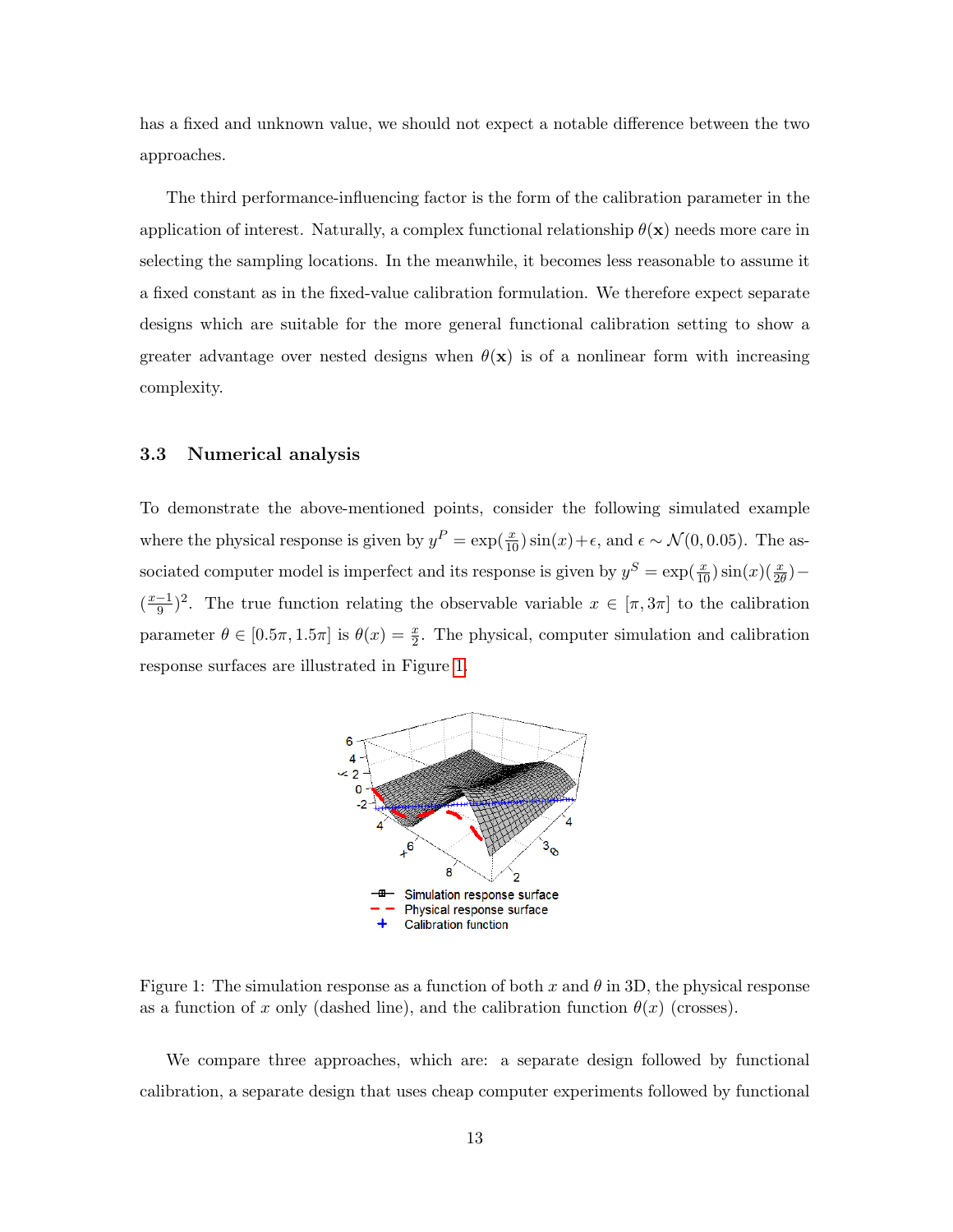has a fixed and unknown value, we should not expect a notable difference between the two approaches.

The third performance-influencing factor is the form of the calibration parameter in the application of interest. Naturally, a complex functional relationship  $\theta(\mathbf{x})$  needs more care in selecting the sampling locations. In the meanwhile, it becomes less reasonable to assume it a fixed constant as in the fixed-value calibration formulation. We therefore expect separate designs which are suitable for the more general functional calibration setting to show a greater advantage over nested designs when  $\theta(\mathbf{x})$  is of a nonlinear form with increasing complexity.

# <span id="page-12-0"></span>3.3 Numerical analysis

<span id="page-12-1"></span>To demonstrate the above-mentioned points, consider the following simulated example where the physical response is given by  $y^P = \exp(\frac{x}{10}) \sin(x) + \epsilon$ , and  $\epsilon \sim \mathcal{N}(0, 0.05)$ . The associated computer model is imperfect and its response is given by  $y^S = \exp(\frac{x}{10}) \sin(x) (\frac{x}{2\theta})$  –  $\left(\frac{x-1}{9}\right)$  $\frac{-1}{9}$ )<sup>2</sup>. The true function relating the observable variable  $x \in [\pi, 3\pi]$  to the calibration parameter  $\theta \in [0.5\pi, 1.5\pi]$  is  $\theta(x) = \frac{x}{2}$ . The physical, computer simulation and calibration response surfaces are illustrated in Figure [1.](#page-12-1)



Figure 1: The simulation response as a function of both x and  $\theta$  in 3D, the physical response as a function of x only (dashed line), and the calibration function  $\theta(x)$  (crosses).

We compare three approaches, which are: a separate design followed by functional calibration, a separate design that uses cheap computer experiments followed by functional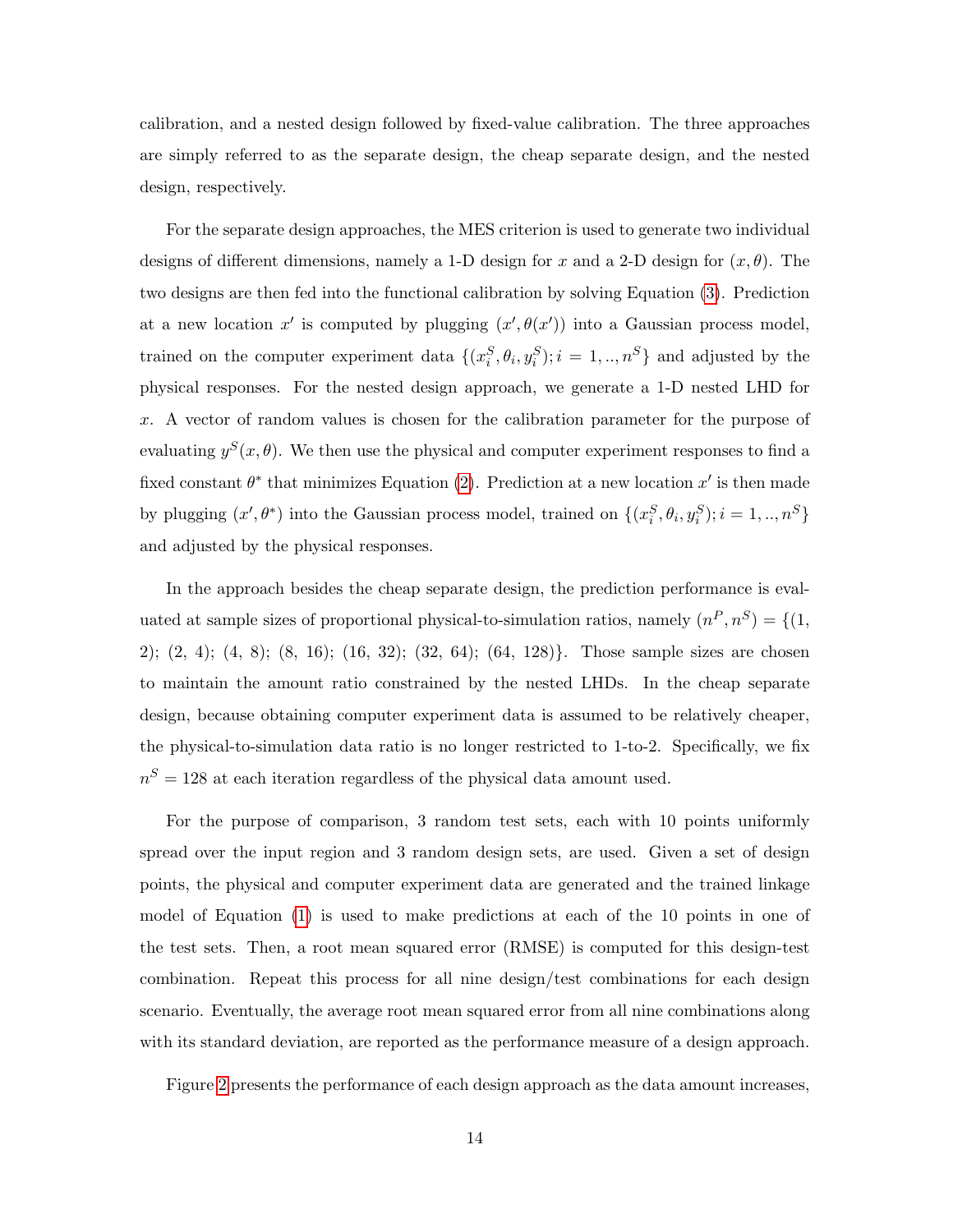calibration, and a nested design followed by fixed-value calibration. The three approaches are simply referred to as the separate design, the cheap separate design, and the nested design, respectively.

For the separate design approaches, the MES criterion is used to generate two individual designs of different dimensions, namely a 1-D design for x and a 2-D design for  $(x, \theta)$ . The two designs are then fed into the functional calibration by solving Equation [\(3\)](#page-6-0). Prediction at a new location x' is computed by plugging  $(x', \theta(x'))$  into a Gaussian process model, trained on the computer experiment data  $\{(x_i^S, \theta_i, y_i^S); i = 1, ..., n^S\}$  and adjusted by the physical responses. For the nested design approach, we generate a 1-D nested LHD for x. A vector of random values is chosen for the calibration parameter for the purpose of evaluating  $y^{S}(x, \theta)$ . We then use the physical and computer experiment responses to find a fixed constant  $\theta^*$  that minimizes Equation [\(2\)](#page-5-0). Prediction at a new location  $x'$  is then made by plugging  $(x', \theta^*)$  into the Gaussian process model, trained on  $\{(x_i^S, \theta_i, y_i^S); i = 1, ..., n^S\}$ and adjusted by the physical responses.

In the approach besides the cheap separate design, the prediction performance is evaluated at sample sizes of proportional physical-to-simulation ratios, namely  $(n^P, n^S) = \{(1,$ 2); (2, 4); (4, 8); (8, 16); (16, 32); (32, 64); (64, 128)}. Those sample sizes are chosen to maintain the amount ratio constrained by the nested LHDs. In the cheap separate design, because obtaining computer experiment data is assumed to be relatively cheaper, the physical-to-simulation data ratio is no longer restricted to 1-to-2. Specifically, we fix  $n<sup>S</sup> = 128$  at each iteration regardless of the physical data amount used.

For the purpose of comparison, 3 random test sets, each with 10 points uniformly spread over the input region and 3 random design sets, are used. Given a set of design points, the physical and computer experiment data are generated and the trained linkage model of Equation [\(1\)](#page-4-0) is used to make predictions at each of the 10 points in one of the test sets. Then, a root mean squared error (RMSE) is computed for this design-test combination. Repeat this process for all nine design/test combinations for each design scenario. Eventually, the average root mean squared error from all nine combinations along with its standard deviation, are reported as the performance measure of a design approach.

Figure [2](#page-14-0) presents the performance of each design approach as the data amount increases,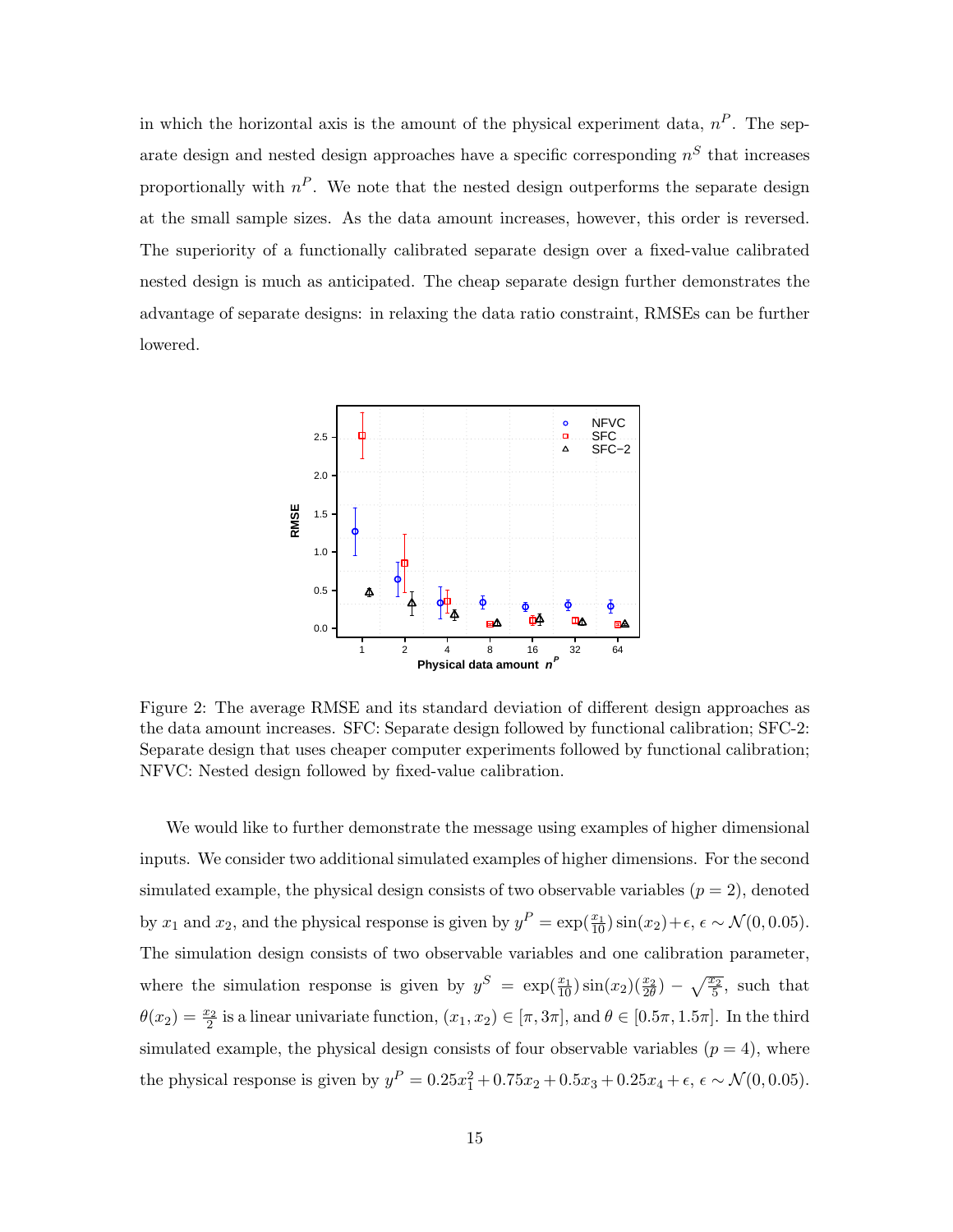in which the horizontal axis is the amount of the physical experiment data,  $n^P$ . The separate design and nested design approaches have a specific corresponding  $n<sup>S</sup>$  that increases proportionally with  $n^P$ . We note that the nested design outperforms the separate design at the small sample sizes. As the data amount increases, however, this order is reversed. The superiority of a functionally calibrated separate design over a fixed-value calibrated nested design is much as anticipated. The cheap separate design further demonstrates the advantage of separate designs: in relaxing the data ratio constraint, RMSEs can be further lowered.

<span id="page-14-0"></span>

Figure 2: The average RMSE and its standard deviation of different design approaches as the data amount increases. SFC: Separate design followed by functional calibration; SFC-2: Separate design that uses cheaper computer experiments followed by functional calibration; NFVC: Nested design followed by fixed-value calibration.

We would like to further demonstrate the message using examples of higher dimensional inputs. We consider two additional simulated examples of higher dimensions. For the second simulated example, the physical design consists of two observable variables  $(p = 2)$ , denoted by  $x_1$  and  $x_2$ , and the physical response is given by  $y^P = \exp(\frac{x_1}{10}) \sin(x_2) + \epsilon$ ,  $\epsilon \sim \mathcal{N}(0, 0.05)$ . The simulation design consists of two observable variables and one calibration parameter, where the simulation response is given by  $y^S = \exp(\frac{x_1}{10})\sin(x_2)(\frac{x_2}{2\theta}) - \sqrt{\frac{x_2}{5}}$ , such that  $\theta(x_2) = \frac{x_2}{2}$  is a linear univariate function,  $(x_1, x_2) \in [\pi, 3\pi]$ , and  $\theta \in [0.5\pi, 1.5\pi]$ . In the third simulated example, the physical design consists of four observable variables  $(p = 4)$ , where the physical response is given by  $y^P = 0.25x_1^2 + 0.75x_2 + 0.5x_3 + 0.25x_4 + \epsilon$ ,  $\epsilon \sim \mathcal{N}(0, 0.05)$ .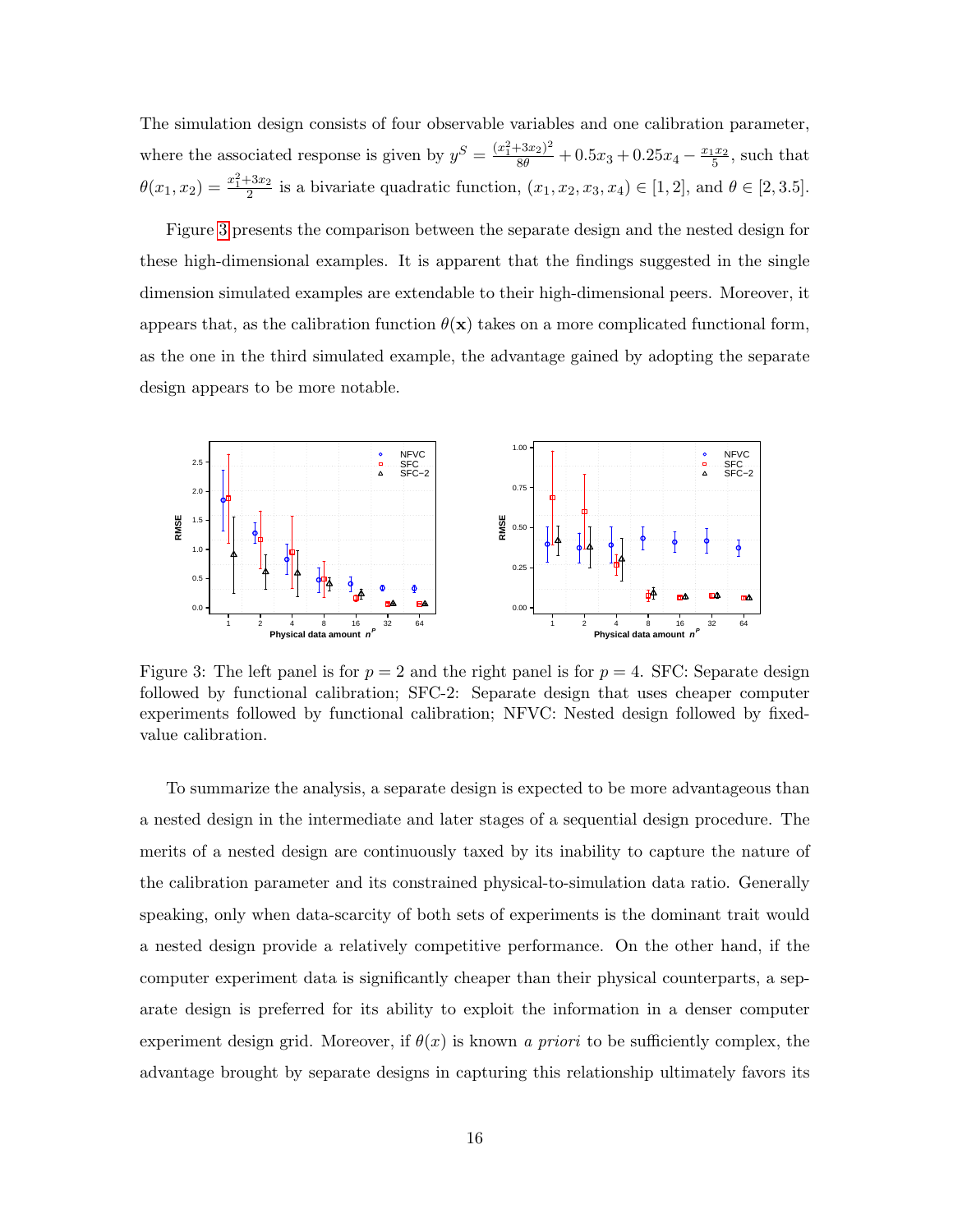The simulation design consists of four observable variables and one calibration parameter, where the associated response is given by  $y^S = \frac{(x_1^2 + 3x_2)^2}{8\theta} + 0.5x_3 + 0.25x_4 - \frac{x_1x_2}{5}$ , such that  $\theta(x_1, x_2) = \frac{x_1^2 + 3x_2}{2}$  is a bivariate quadratic function,  $(x_1, x_2, x_3, x_4) \in [1, 2]$ , and  $\theta \in [2, 3.5]$ .

Figure [3](#page-15-0) presents the comparison between the separate design and the nested design for these high-dimensional examples. It is apparent that the findings suggested in the single dimension simulated examples are extendable to their high-dimensional peers. Moreover, it appears that, as the calibration function  $\theta(\mathbf{x})$  takes on a more complicated functional form, as the one in the third simulated example, the advantage gained by adopting the separate design appears to be more notable.

<span id="page-15-0"></span>

Figure 3: The left panel is for  $p = 2$  and the right panel is for  $p = 4$ . SFC: Separate design followed by functional calibration; SFC-2: Separate design that uses cheaper computer experiments followed by functional calibration; NFVC: Nested design followed by fixedvalue calibration.

To summarize the analysis, a separate design is expected to be more advantageous than a nested design in the intermediate and later stages of a sequential design procedure. The merits of a nested design are continuously taxed by its inability to capture the nature of the calibration parameter and its constrained physical-to-simulation data ratio. Generally speaking, only when data-scarcity of both sets of experiments is the dominant trait would a nested design provide a relatively competitive performance. On the other hand, if the computer experiment data is significantly cheaper than their physical counterparts, a separate design is preferred for its ability to exploit the information in a denser computer experiment design grid. Moreover, if  $\theta(x)$  is known a priori to be sufficiently complex, the advantage brought by separate designs in capturing this relationship ultimately favors its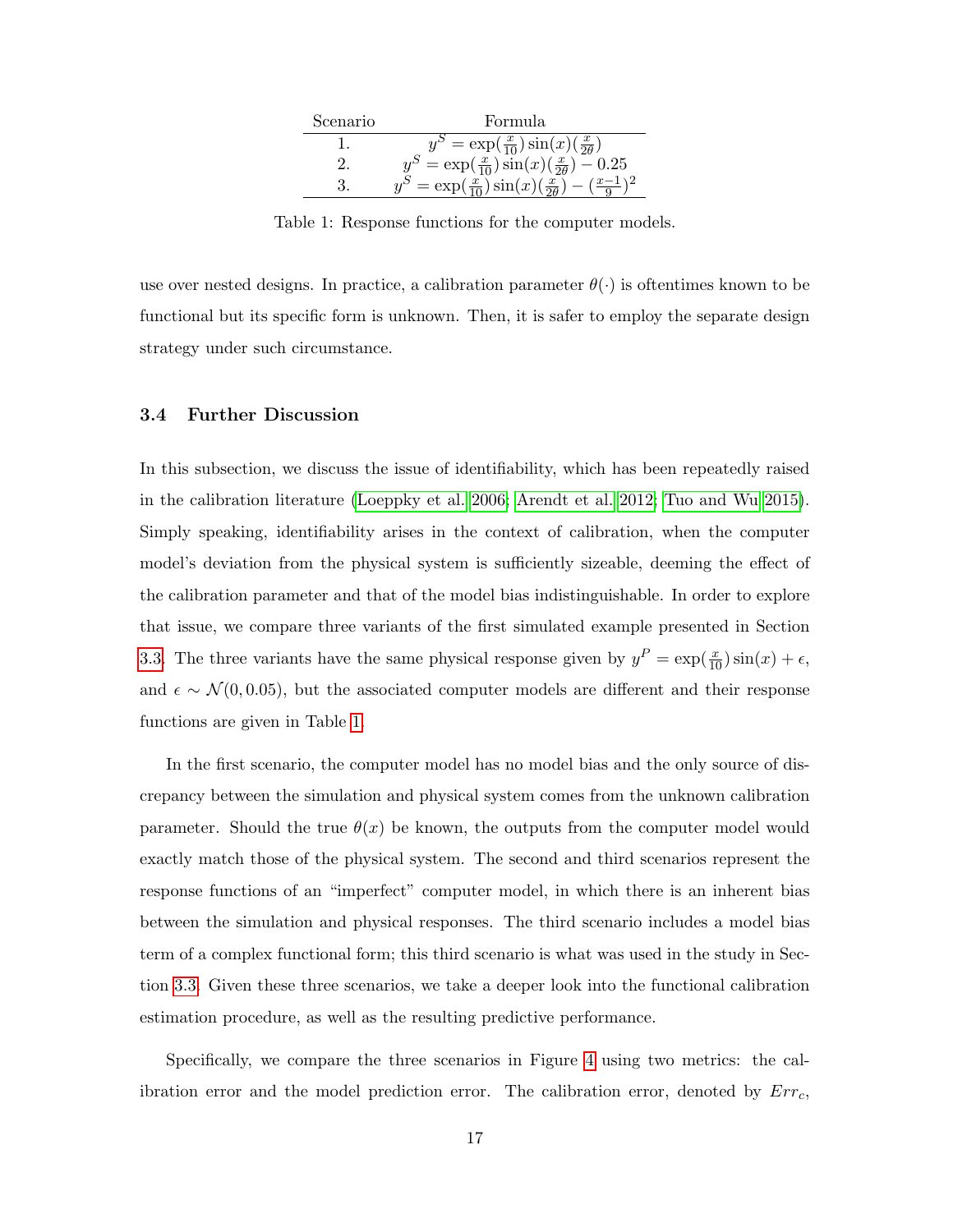<span id="page-16-1"></span>

| Scenario | Formula                                                             |
|----------|---------------------------------------------------------------------|
|          | $y^S = \exp(\frac{x}{10}) \sin(x) (\frac{x}{20})$                   |
|          | $y^S = \exp(\frac{x}{10}) \sin(x) (\frac{x}{20}) - 0.25$            |
|          | $y^S = \exp(\frac{x}{10}) \sin(x) (\frac{x}{20}) - (\frac{x-1}{9})$ |

Table 1: Response functions for the computer models.

use over nested designs. In practice, a calibration parameter  $\theta(\cdot)$  is oftentimes known to be functional but its specific form is unknown. Then, it is safer to employ the separate design strategy under such circumstance.

# <span id="page-16-0"></span>3.4 Further Discussion

In this subsection, we discuss the issue of identifiability, which has been repeatedly raised in the calibration literature [\(Loeppky et al. 2006;](#page-26-12) [Arendt et al. 2012;](#page-25-10) [Tuo and Wu 2015\)](#page-27-0). Simply speaking, identifiability arises in the context of calibration, when the computer model's deviation from the physical system is sufficiently sizeable, deeming the effect of the calibration parameter and that of the model bias indistinguishable. In order to explore that issue, we compare three variants of the first simulated example presented in Section [3.3.](#page-12-0) The three variants have the same physical response given by  $y^P = \exp(\frac{x}{10}) \sin(x) + \epsilon$ , and  $\epsilon \sim \mathcal{N}(0, 0.05)$ , but the associated computer models are different and their response functions are given in Table [1.](#page-16-1)

In the first scenario, the computer model has no model bias and the only source of discrepancy between the simulation and physical system comes from the unknown calibration parameter. Should the true  $\theta(x)$  be known, the outputs from the computer model would exactly match those of the physical system. The second and third scenarios represent the response functions of an "imperfect" computer model, in which there is an inherent bias between the simulation and physical responses. The third scenario includes a model bias term of a complex functional form; this third scenario is what was used in the study in Section [3.3.](#page-12-0) Given these three scenarios, we take a deeper look into the functional calibration estimation procedure, as well as the resulting predictive performance.

Specifically, we compare the three scenarios in Figure [4](#page-17-0) using two metrics: the calibration error and the model prediction error. The calibration error, denoted by  $Err_c$ ,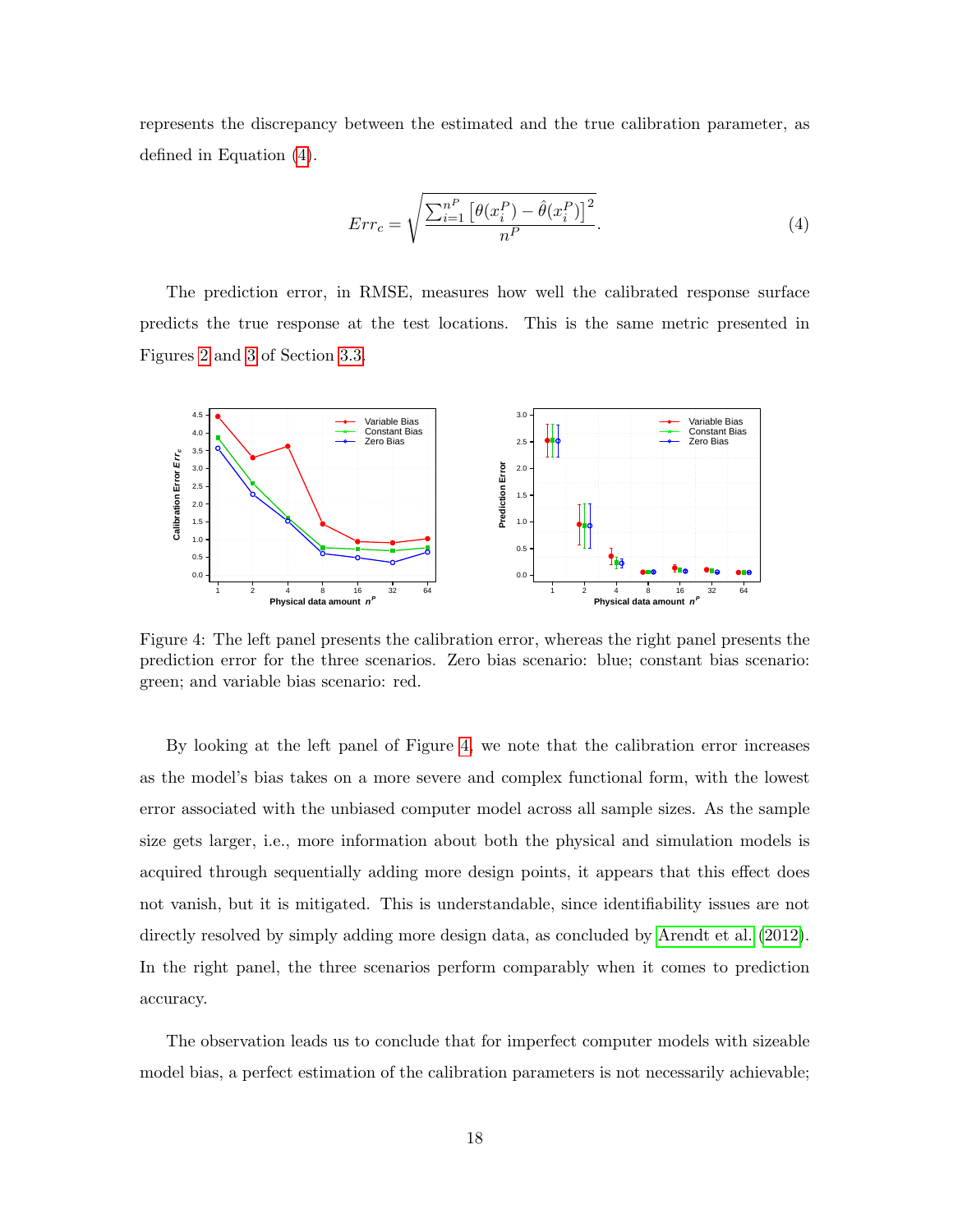represents the discrepancy between the estimated and the true calibration parameter, as defined in Equation [\(4\)](#page-17-1).

<span id="page-17-1"></span>
$$
Err_c = \sqrt{\frac{\sum_{i=1}^{n} \left[\theta(x_i^P) - \hat{\theta}(x_i^P)\right]^2}{n^P}}.
$$
\n
$$
(4)
$$

The prediction error, in RMSE, measures how well the calibrated response surface predicts the true response at the test locations. This is the same metric presented in Figures [2](#page-14-0) and [3](#page-15-0) of Section [3.3.](#page-12-0)

<span id="page-17-0"></span>

Figure 4: The left panel presents the calibration error, whereas the right panel presents the prediction error for the three scenarios. Zero bias scenario: blue; constant bias scenario: green; and variable bias scenario: red.

By looking at the left panel of Figure [4,](#page-17-0) we note that the calibration error increases as the model's bias takes on a more severe and complex functional form, with the lowest error associated with the unbiased computer model across all sample sizes. As the sample size gets larger, i.e., more information about both the physical and simulation models is acquired through sequentially adding more design points, it appears that this effect does not vanish, but it is mitigated. This is understandable, since identifiability issues are not directly resolved by simply adding more design data, as concluded by [Arendt et al.](#page-25-10)  $(2012)$ . In the right panel, the three scenarios perform comparably when it comes to prediction accuracy.

The observation leads us to conclude that for imperfect computer models with sizeable model bias, a perfect estimation of the calibration parameters is not necessarily achievable;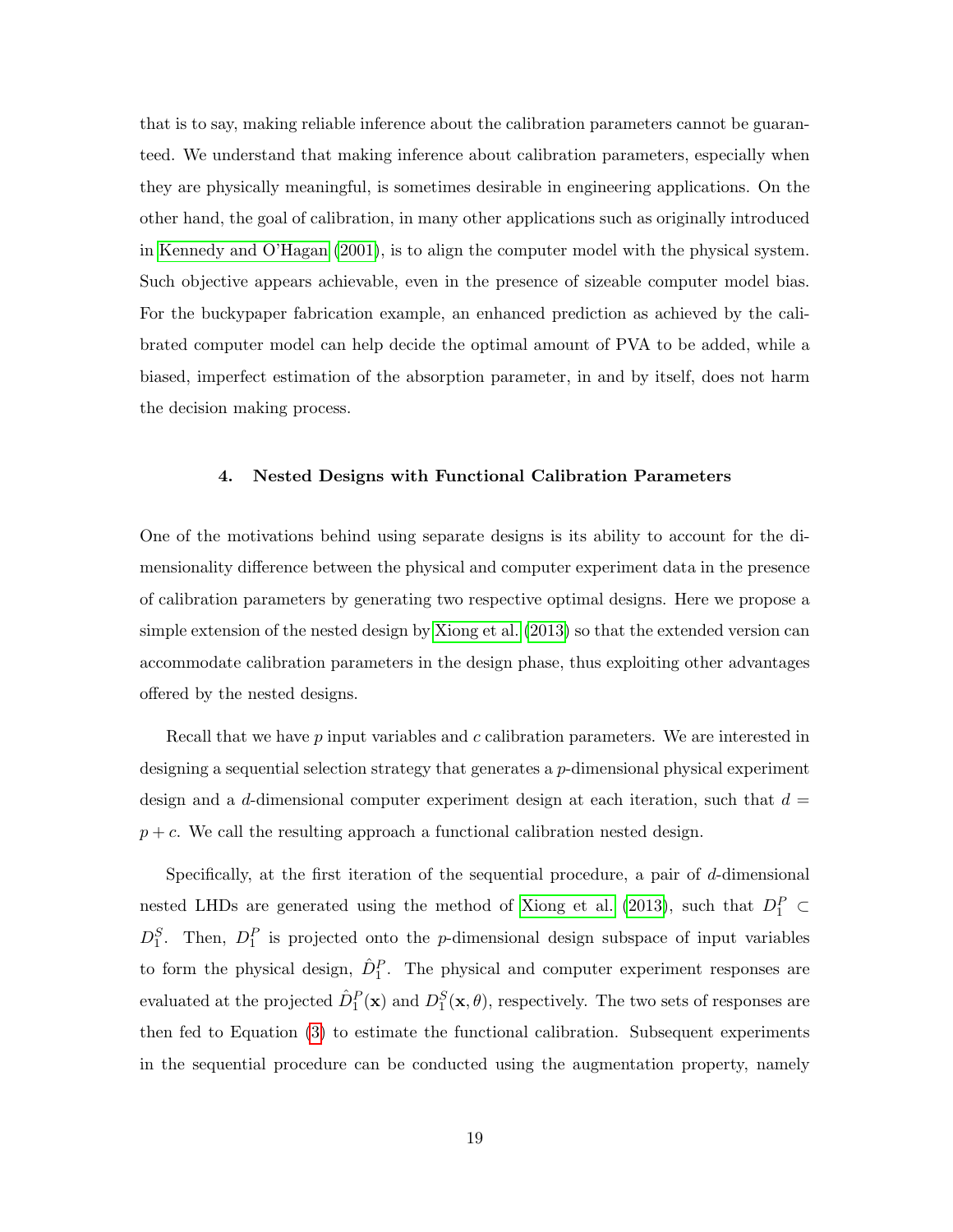that is to say, making reliable inference about the calibration parameters cannot be guaranteed. We understand that making inference about calibration parameters, especially when they are physically meaningful, is sometimes desirable in engineering applications. On the other hand, the goal of calibration, in many other applications such as originally introduced in [Kennedy and O'Hagan](#page-26-0) [\(2001\)](#page-26-0), is to align the computer model with the physical system. Such objective appears achievable, even in the presence of sizeable computer model bias. For the buckypaper fabrication example, an enhanced prediction as achieved by the calibrated computer model can help decide the optimal amount of PVA to be added, while a biased, imperfect estimation of the absorption parameter, in and by itself, does not harm the decision making process.

#### <span id="page-18-0"></span>4. Nested Designs with Functional Calibration Parameters

One of the motivations behind using separate designs is its ability to account for the dimensionality difference between the physical and computer experiment data in the presence of calibration parameters by generating two respective optimal designs. Here we propose a simple extension of the nested design by [Xiong et al.](#page-28-0) [\(2013\)](#page-28-0) so that the extended version can accommodate calibration parameters in the design phase, thus exploiting other advantages offered by the nested designs.

Recall that we have p input variables and c calibration parameters. We are interested in designing a sequential selection strategy that generates a  $p$ -dimensional physical experiment design and a d-dimensional computer experiment design at each iteration, such that  $d =$  $p + c$ . We call the resulting approach a functional calibration nested design.

Specifically, at the first iteration of the sequential procedure, a pair of d-dimensional nested LHDs are generated using the method of [Xiong et al.](#page-28-0) [\(2013\)](#page-28-0), such that  $D_1^P \subset$  $D_1^S$ . Then,  $D_1^P$  is projected onto the *p*-dimensional design subspace of input variables to form the physical design,  $\hat{D}_1^P$ . The physical and computer experiment responses are evaluated at the projected  $\hat{D}_1^P(\mathbf{x})$  and  $D_1^S(\mathbf{x}, \theta)$ , respectively. The two sets of responses are then fed to Equation [\(3\)](#page-6-0) to estimate the functional calibration. Subsequent experiments in the sequential procedure can be conducted using the augmentation property, namely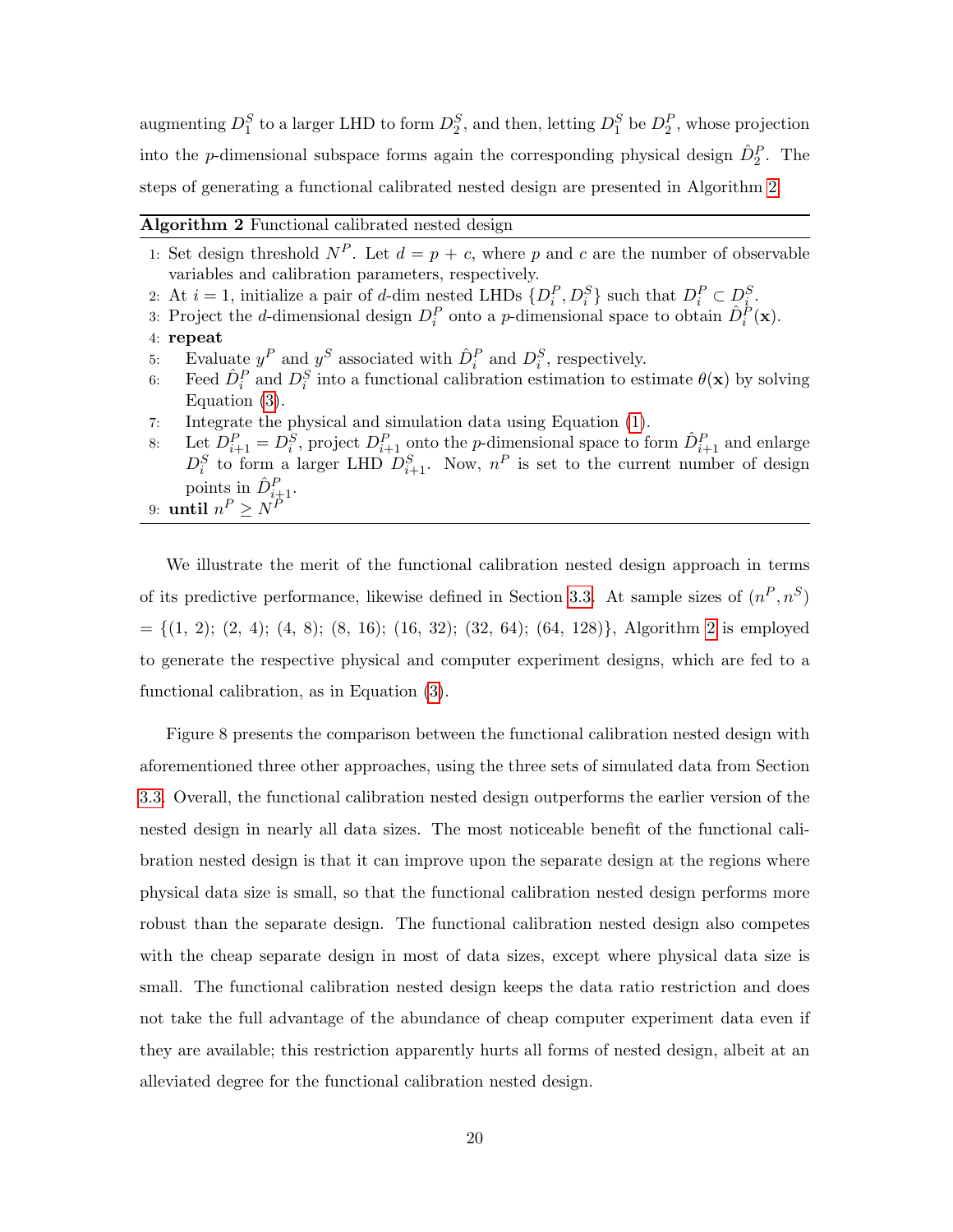augmenting  $D_1^S$  to a larger LHD to form  $D_2^S$ , and then, letting  $D_1^S$  be  $D_2^P$ , whose projection into the *p*-dimensional subspace forms again the corresponding physical design  $\hat{D}_2^P$ . The steps of generating a functional calibrated nested design are presented in Algorithm [2.](#page-19-1)

<span id="page-19-1"></span>

| Algorithm 2 Functional calibrated nested design |  |  |  |
|-------------------------------------------------|--|--|--|
|-------------------------------------------------|--|--|--|

- 1: Set design threshold  $N^P$ . Let  $d = p + c$ , where p and c are the number of observable variables and calibration parameters, respectively.
- 2: At  $i = 1$ , initialize a pair of d-dim nested LHDs  $\{D_i^P, D_i^S\}$  such that  $D_i^P \subset D_i^S$ .
- 3: Project the *d*-dimensional design  $D_i^P$  onto a *p*-dimensional space to obtain  $\hat{D}_i^P(\mathbf{x})$ .
- 4: repeat
- 5: Evaluate  $y^P$  and  $y^S$  associated with  $\hat{D}_i^P$  and  $D_i^S$ , respectively.
- 6: Feed  $\hat{D}_i^P$  and  $D_i^S$  into a functional calibration estimation to estimate  $\theta(\mathbf{x})$  by solving Equation [\(3\)](#page-6-0).
- 7: Integrate the physical and simulation data using Equation [\(1\)](#page-4-0).
- 8: Let  $D_{i+1}^P = D_i^S$ , project  $D_{i+1}^P$  onto the *p*-dimensional space to form  $\hat{D}_{i+1}^P$  and enlarge  $D_i^S$  to form a larger LHD  $D_{i+1}^S$ . Now,  $n^P$  is set to the current number of design points in  $\hat{D}_{i\pm 1}^P$ .
- 9: until  $n^P \ge N^P$

We illustrate the merit of the functional calibration nested design approach in terms of its predictive performance, likewise defined in Section [3.3.](#page-12-0) At sample sizes of  $(n^P, n^S)$  $= \{(1, 2); (2, 4); (4, 8); (8, 16); (16, 32); (32, 64); (64, 128)\},$  $= \{(1, 2); (2, 4); (4, 8); (8, 16); (16, 32); (32, 64); (64, 128)\},$  $= \{(1, 2); (2, 4); (4, 8); (8, 16); (16, 32); (32, 64); (64, 128)\},$  Algorithm 2 is employed to generate the respective physical and computer experiment designs, which are fed to a functional calibration, as in Equation [\(3\)](#page-6-0).

<span id="page-19-0"></span>Figure 8 presents the comparison between the functional calibration nested design with aforementioned three other approaches, using the three sets of simulated data from Section [3.3.](#page-12-0) Overall, the functional calibration nested design outperforms the earlier version of the nested design in nearly all data sizes. The most noticeable benefit of the functional calibration nested design is that it can improve upon the separate design at the regions where physical data size is small, so that the functional calibration nested design performs more robust than the separate design. The functional calibration nested design also competes with the cheap separate design in most of data sizes, except where physical data size is small. The functional calibration nested design keeps the data ratio restriction and does not take the full advantage of the abundance of cheap computer experiment data even if they are available; this restriction apparently hurts all forms of nested design, albeit at an alleviated degree for the functional calibration nested design.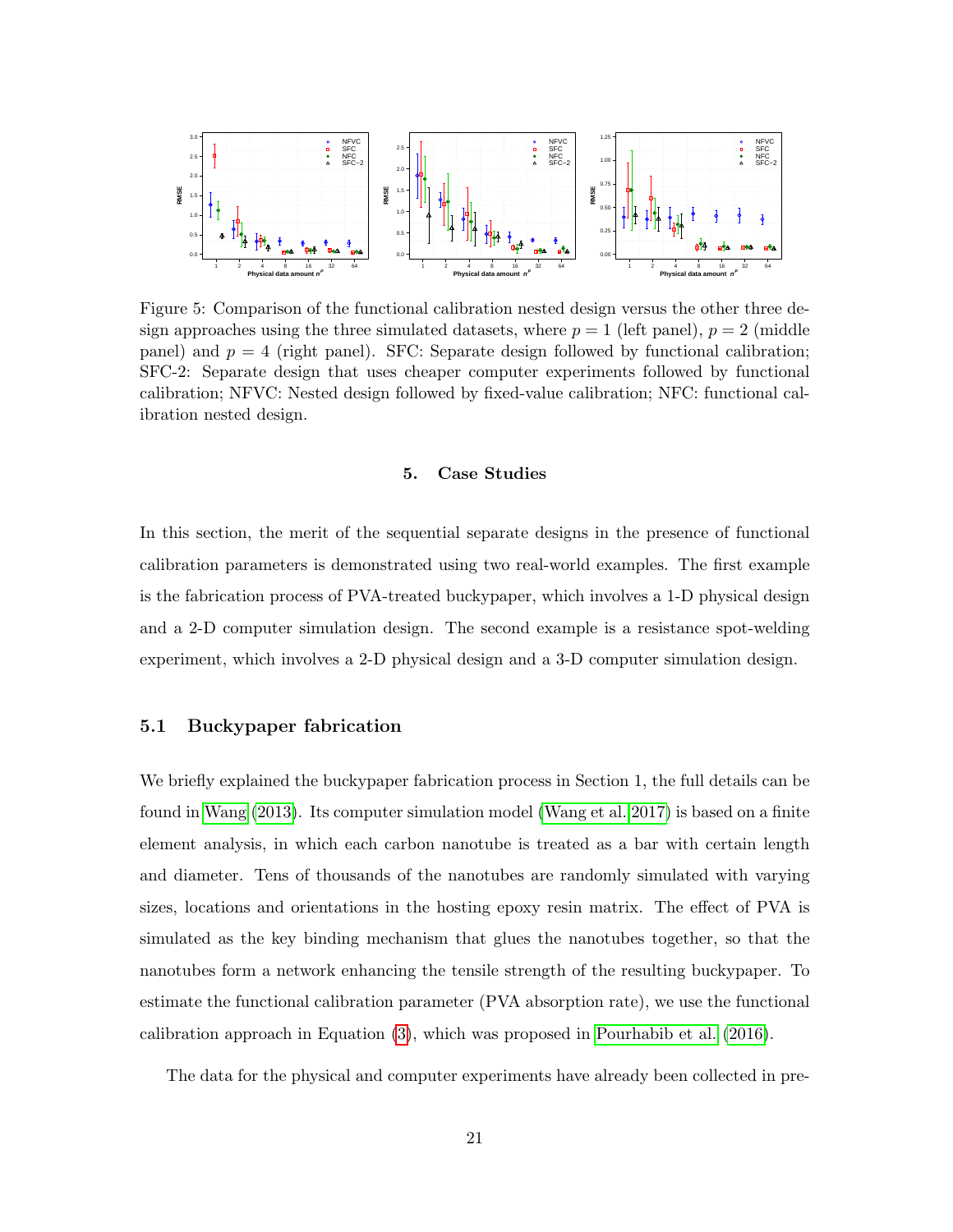

Figure 5: Comparison of the functional calibration nested design versus the other three design approaches using the three simulated datasets, where  $p = 1$  (left panel),  $p = 2$  (middle panel) and  $p = 4$  (right panel). SFC: Separate design followed by functional calibration; SFC-2: Separate design that uses cheaper computer experiments followed by functional calibration; NFVC: Nested design followed by fixed-value calibration; NFC: functional calibration nested design.

### 5. Case Studies

In this section, the merit of the sequential separate designs in the presence of functional calibration parameters is demonstrated using two real-world examples. The first example is the fabrication process of PVA-treated buckypaper, which involves a 1-D physical design and a 2-D computer simulation design. The second example is a resistance spot-welding experiment, which involves a 2-D physical design and a 3-D computer simulation design.

# 5.1 Buckypaper fabrication

We briefly explained the buckypaper fabrication process in Section 1, the full details can be found in [Wang](#page-27-13) [\(2013\)](#page-27-13). Its computer simulation model [\(Wang et al. 2017\)](#page-27-2) is based on a finite element analysis, in which each carbon nanotube is treated as a bar with certain length and diameter. Tens of thousands of the nanotubes are randomly simulated with varying sizes, locations and orientations in the hosting epoxy resin matrix. The effect of PVA is simulated as the key binding mechanism that glues the nanotubes together, so that the nanotubes form a network enhancing the tensile strength of the resulting buckypaper. To estimate the functional calibration parameter (PVA absorption rate), we use the functional calibration approach in Equation [\(3\)](#page-6-0), which was proposed in [Pourhabib et al.](#page-26-3) [\(2016\)](#page-26-3).

The data for the physical and computer experiments have already been collected in pre-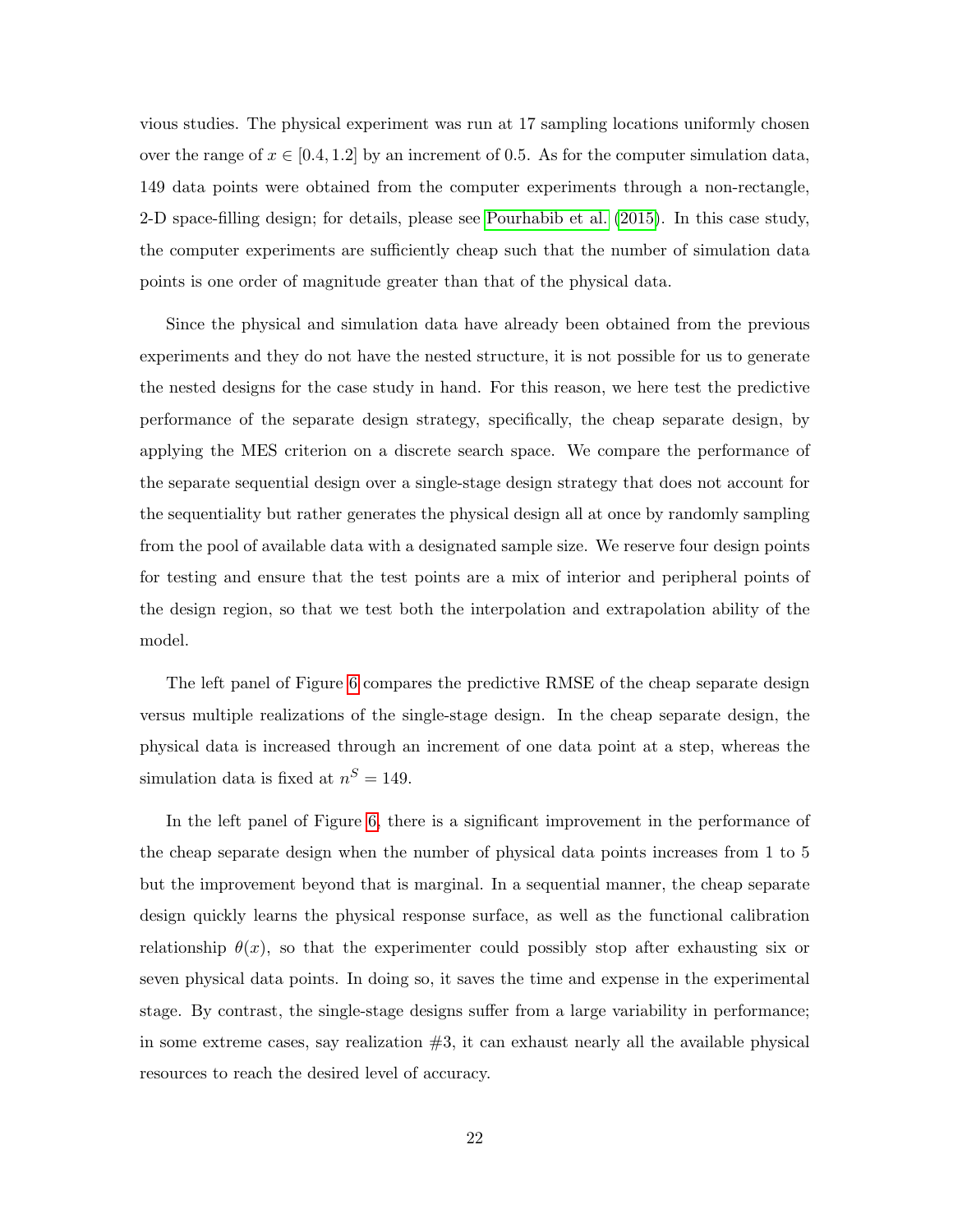vious studies. The physical experiment was run at 17 sampling locations uniformly chosen over the range of  $x \in [0.4, 1.2]$  by an increment of 0.5. As for the computer simulation data, 149 data points were obtained from the computer experiments through a non-rectangle, 2-D space-filling design; for details, please see [Pourhabib et al.](#page-26-1) [\(2015\)](#page-26-1). In this case study, the computer experiments are sufficiently cheap such that the number of simulation data points is one order of magnitude greater than that of the physical data.

Since the physical and simulation data have already been obtained from the previous experiments and they do not have the nested structure, it is not possible for us to generate the nested designs for the case study in hand. For this reason, we here test the predictive performance of the separate design strategy, specifically, the cheap separate design, by applying the MES criterion on a discrete search space. We compare the performance of the separate sequential design over a single-stage design strategy that does not account for the sequentiality but rather generates the physical design all at once by randomly sampling from the pool of available data with a designated sample size. We reserve four design points for testing and ensure that the test points are a mix of interior and peripheral points of the design region, so that we test both the interpolation and extrapolation ability of the model.

The left panel of Figure [6](#page-22-0) compares the predictive RMSE of the cheap separate design versus multiple realizations of the single-stage design. In the cheap separate design, the physical data is increased through an increment of one data point at a step, whereas the simulation data is fixed at  $n^S = 149$ .

In the left panel of Figure [6,](#page-22-0) there is a significant improvement in the performance of the cheap separate design when the number of physical data points increases from 1 to 5 but the improvement beyond that is marginal. In a sequential manner, the cheap separate design quickly learns the physical response surface, as well as the functional calibration relationship  $\theta(x)$ , so that the experimenter could possibly stop after exhausting six or seven physical data points. In doing so, it saves the time and expense in the experimental stage. By contrast, the single-stage designs suffer from a large variability in performance; in some extreme cases, say realization  $#3$ , it can exhaust nearly all the available physical resources to reach the desired level of accuracy.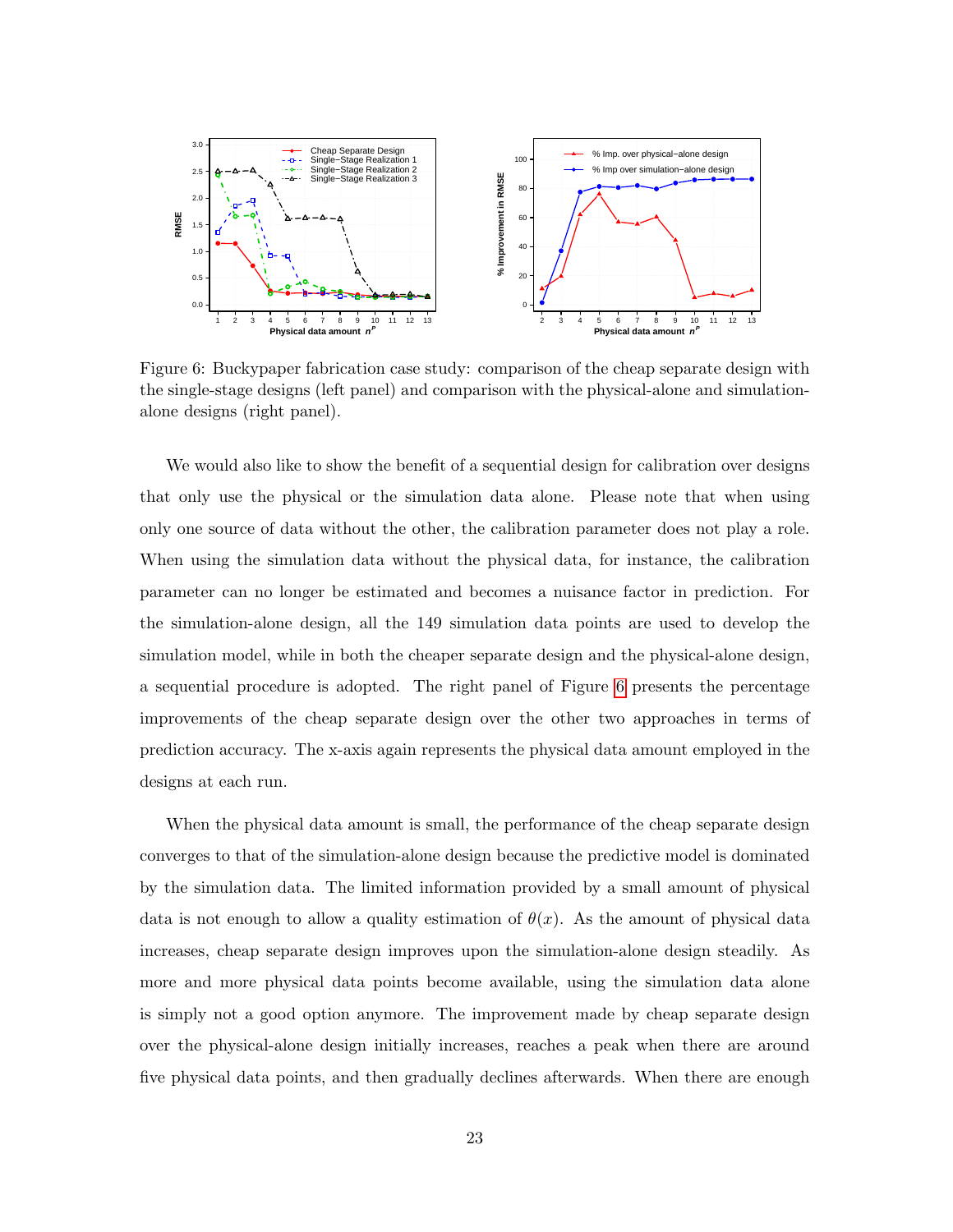<span id="page-22-0"></span>

Figure 6: Buckypaper fabrication case study: comparison of the cheap separate design with the single-stage designs (left panel) and comparison with the physical-alone and simulationalone designs (right panel).

We would also like to show the benefit of a sequential design for calibration over designs that only use the physical or the simulation data alone. Please note that when using only one source of data without the other, the calibration parameter does not play a role. When using the simulation data without the physical data, for instance, the calibration parameter can no longer be estimated and becomes a nuisance factor in prediction. For the simulation-alone design, all the 149 simulation data points are used to develop the simulation model, while in both the cheaper separate design and the physical-alone design, a sequential procedure is adopted. The right panel of Figure [6](#page-22-0) presents the percentage improvements of the cheap separate design over the other two approaches in terms of prediction accuracy. The x-axis again represents the physical data amount employed in the designs at each run.

When the physical data amount is small, the performance of the cheap separate design converges to that of the simulation-alone design because the predictive model is dominated by the simulation data. The limited information provided by a small amount of physical data is not enough to allow a quality estimation of  $\theta(x)$ . As the amount of physical data increases, cheap separate design improves upon the simulation-alone design steadily. As more and more physical data points become available, using the simulation data alone is simply not a good option anymore. The improvement made by cheap separate design over the physical-alone design initially increases, reaches a peak when there are around five physical data points, and then gradually declines afterwards. When there are enough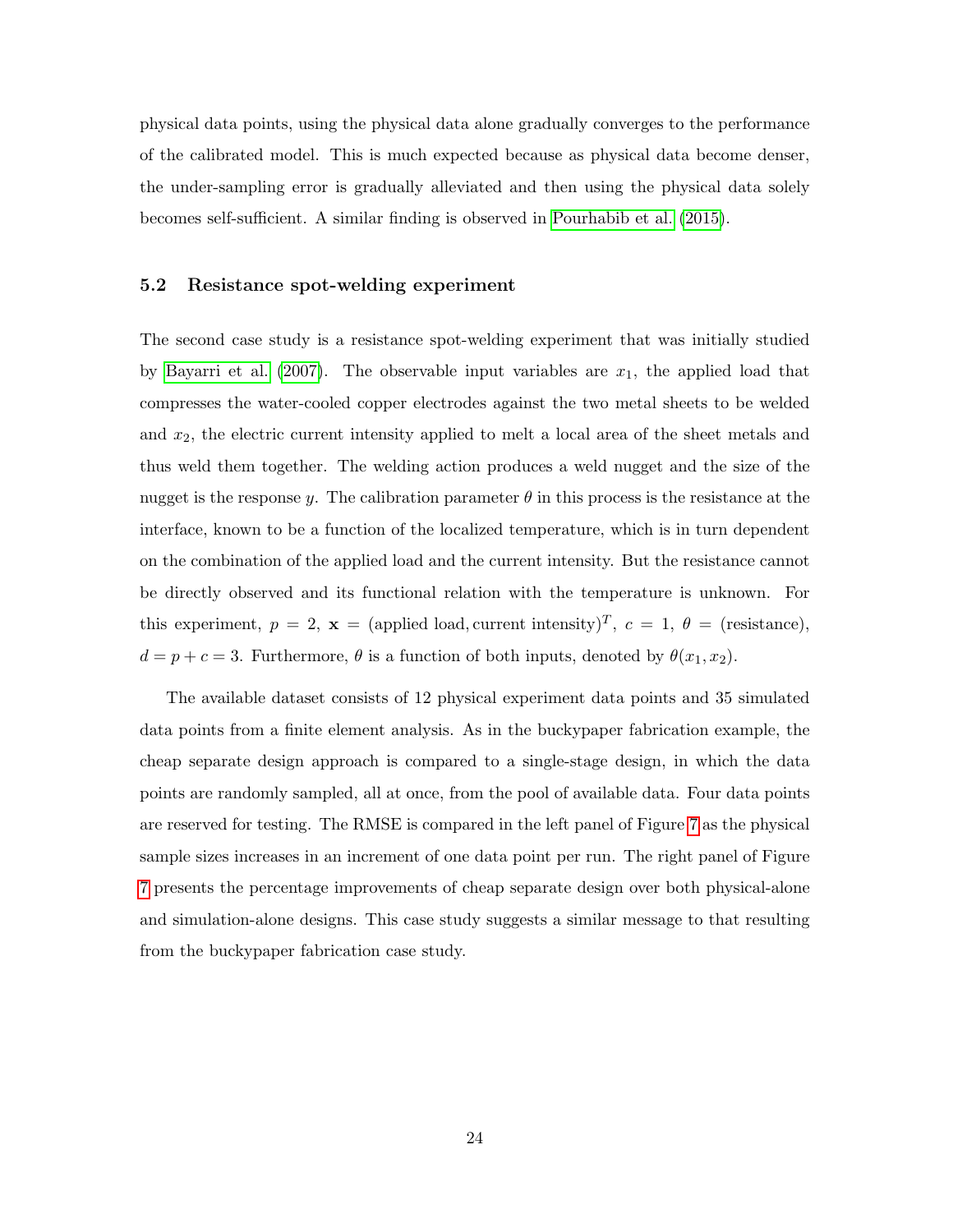physical data points, using the physical data alone gradually converges to the performance of the calibrated model. This is much expected because as physical data become denser, the under-sampling error is gradually alleviated and then using the physical data solely becomes self-sufficient. A similar finding is observed in [Pourhabib et al.](#page-26-1) [\(2015\)](#page-26-1).

# 5.2 Resistance spot-welding experiment

The second case study is a resistance spot-welding experiment that was initially studied by [Bayarri et al.](#page-25-1) [\(2007\)](#page-25-1). The observable input variables are  $x_1$ , the applied load that compresses the water-cooled copper electrodes against the two metal sheets to be welded and  $x_2$ , the electric current intensity applied to melt a local area of the sheet metals and thus weld them together. The welding action produces a weld nugget and the size of the nugget is the response y. The calibration parameter  $\theta$  in this process is the resistance at the interface, known to be a function of the localized temperature, which is in turn dependent on the combination of the applied load and the current intensity. But the resistance cannot be directly observed and its functional relation with the temperature is unknown. For this experiment,  $p = 2$ ,  $\mathbf{x} = \text{(applied load, current intensity)}^T$ ,  $c = 1$ ,  $\theta = \text{(resistance)}$ ,  $d = p + c = 3$ . Furthermore,  $\theta$  is a function of both inputs, denoted by  $\theta(x_1, x_2)$ .

<span id="page-23-0"></span>The available dataset consists of 12 physical experiment data points and 35 simulated data points from a finite element analysis. As in the buckypaper fabrication example, the cheap separate design approach is compared to a single-stage design, in which the data points are randomly sampled, all at once, from the pool of available data. Four data points are reserved for testing. The RMSE is compared in the left panel of Figure [7](#page-24-0) as the physical sample sizes increases in an increment of one data point per run. The right panel of Figure [7](#page-24-0) presents the percentage improvements of cheap separate design over both physical-alone and simulation-alone designs. This case study suggests a similar message to that resulting from the buckypaper fabrication case study.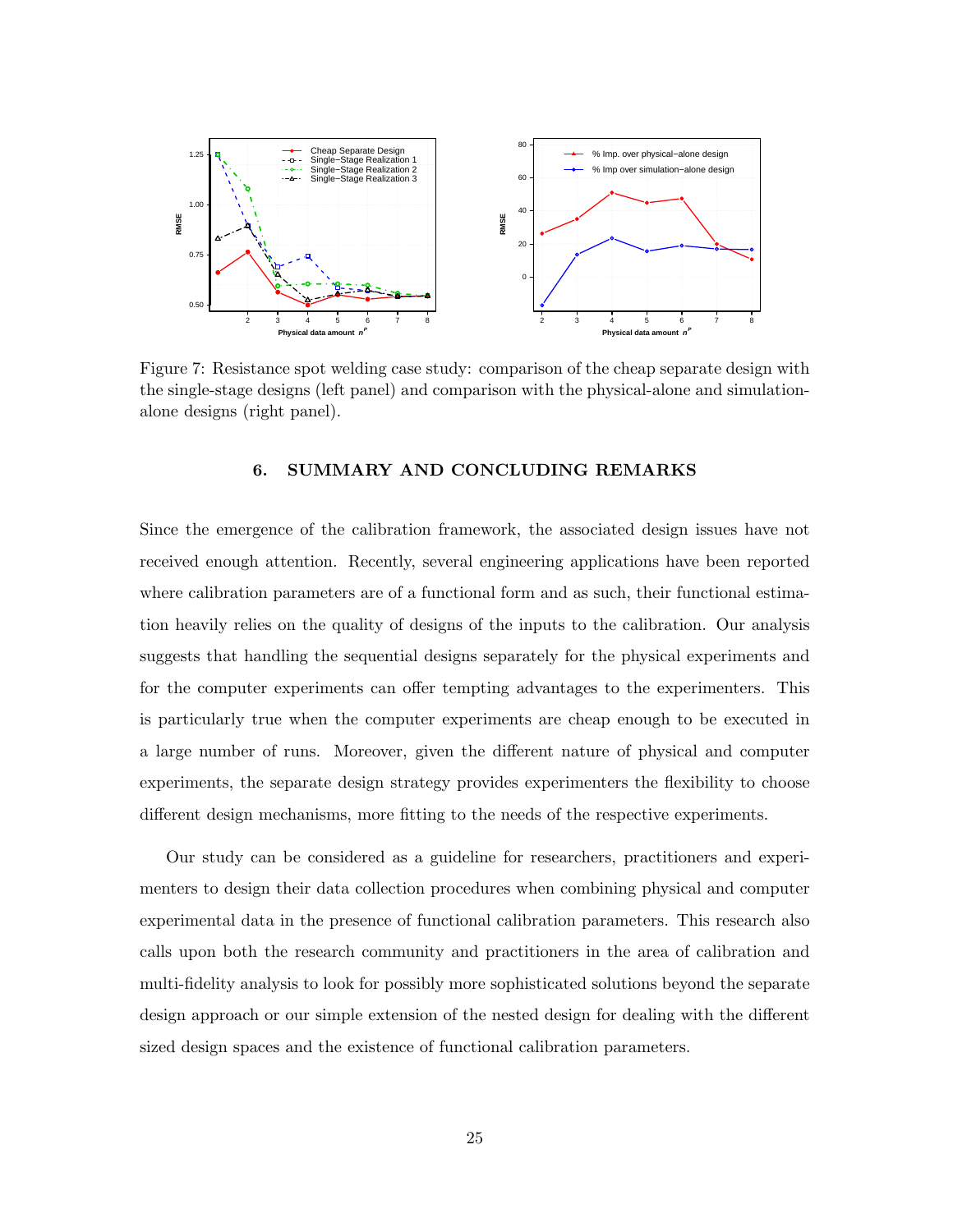<span id="page-24-0"></span>

Figure 7: Resistance spot welding case study: comparison of the cheap separate design with the single-stage designs (left panel) and comparison with the physical-alone and simulationalone designs (right panel).

# 6. SUMMARY AND CONCLUDING REMARKS

Since the emergence of the calibration framework, the associated design issues have not received enough attention. Recently, several engineering applications have been reported where calibration parameters are of a functional form and as such, their functional estimation heavily relies on the quality of designs of the inputs to the calibration. Our analysis suggests that handling the sequential designs separately for the physical experiments and for the computer experiments can offer tempting advantages to the experimenters. This is particularly true when the computer experiments are cheap enough to be executed in a large number of runs. Moreover, given the different nature of physical and computer experiments, the separate design strategy provides experimenters the flexibility to choose different design mechanisms, more fitting to the needs of the respective experiments.

Our study can be considered as a guideline for researchers, practitioners and experimenters to design their data collection procedures when combining physical and computer experimental data in the presence of functional calibration parameters. This research also calls upon both the research community and practitioners in the area of calibration and multi-fidelity analysis to look for possibly more sophisticated solutions beyond the separate design approach or our simple extension of the nested design for dealing with the different sized design spaces and the existence of functional calibration parameters.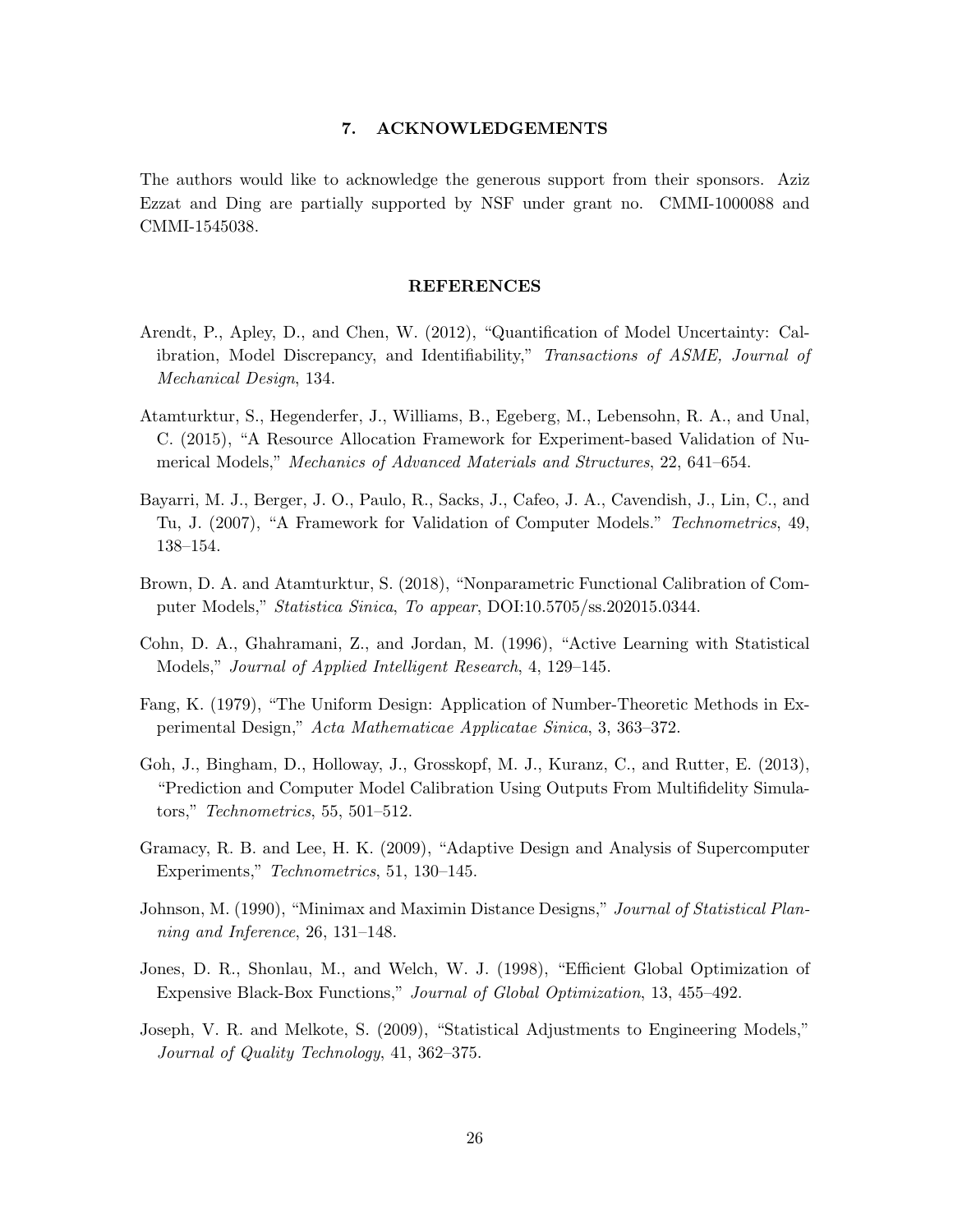## 7. ACKNOWLEDGEMENTS

The authors would like to acknowledge the generous support from their sponsors. Aziz Ezzat and Ding are partially supported by NSF under grant no. CMMI-1000088 and CMMI-1545038.

#### REFERENCES

- <span id="page-25-10"></span>Arendt, P., Apley, D., and Chen, W. (2012), "Quantification of Model Uncertainty: Calibration, Model Discrepancy, and Identifiability," Transactions of ASME, Journal of Mechanical Design, 134.
- <span id="page-25-0"></span>Atamturktur, S., Hegenderfer, J., Williams, B., Egeberg, M., Lebensohn, R. A., and Unal, C. (2015), "A Resource Allocation Framework for Experiment-based Validation of Numerical Models," Mechanics of Advanced Materials and Structures, 22, 641–654.
- <span id="page-25-1"></span>Bayarri, M. J., Berger, J. O., Paulo, R., Sacks, J., Cafeo, J. A., Cavendish, J., Lin, C., and Tu, J. (2007), "A Framework for Validation of Computer Models." Technometrics, 49, 138–154.
- <span id="page-25-2"></span>Brown, D. A. and Atamturktur, S. (2018), "Nonparametric Functional Calibration of Computer Models," Statistica Sinica, To appear, DOI:10.5705/ss.202015.0344.
- <span id="page-25-6"></span>Cohn, D. A., Ghahramani, Z., and Jordan, M. (1996), "Active Learning with Statistical Models," Journal of Applied Intelligent Research, 4, 129–145.
- <span id="page-25-8"></span>Fang, K. (1979), "The Uniform Design: Application of Number-Theoretic Methods in Experimental Design," Acta Mathematicae Applicatae Sinica, 3, 363–372.
- <span id="page-25-3"></span>Goh, J., Bingham, D., Holloway, J., Grosskopf, M. J., Kuranz, C., and Rutter, E. (2013), "Prediction and Computer Model Calibration Using Outputs From Multifidelity Simulators," Technometrics, 55, 501–512.
- <span id="page-25-9"></span>Gramacy, R. B. and Lee, H. K. (2009), "Adaptive Design and Analysis of Supercomputer Experiments," Technometrics, 51, 130–145.
- <span id="page-25-7"></span>Johnson, M. (1990), "Minimax and Maximin Distance Designs," Journal of Statistical Planning and Inference, 26, 131–148.
- <span id="page-25-5"></span>Jones, D. R., Shonlau, M., and Welch, W. J. (1998), "Efficient Global Optimization of Expensive Black-Box Functions," Journal of Global Optimization, 13, 455–492.
- <span id="page-25-4"></span>Joseph, V. R. and Melkote, S. (2009), "Statistical Adjustments to Engineering Models," Journal of Quality Technology, 41, 362–375.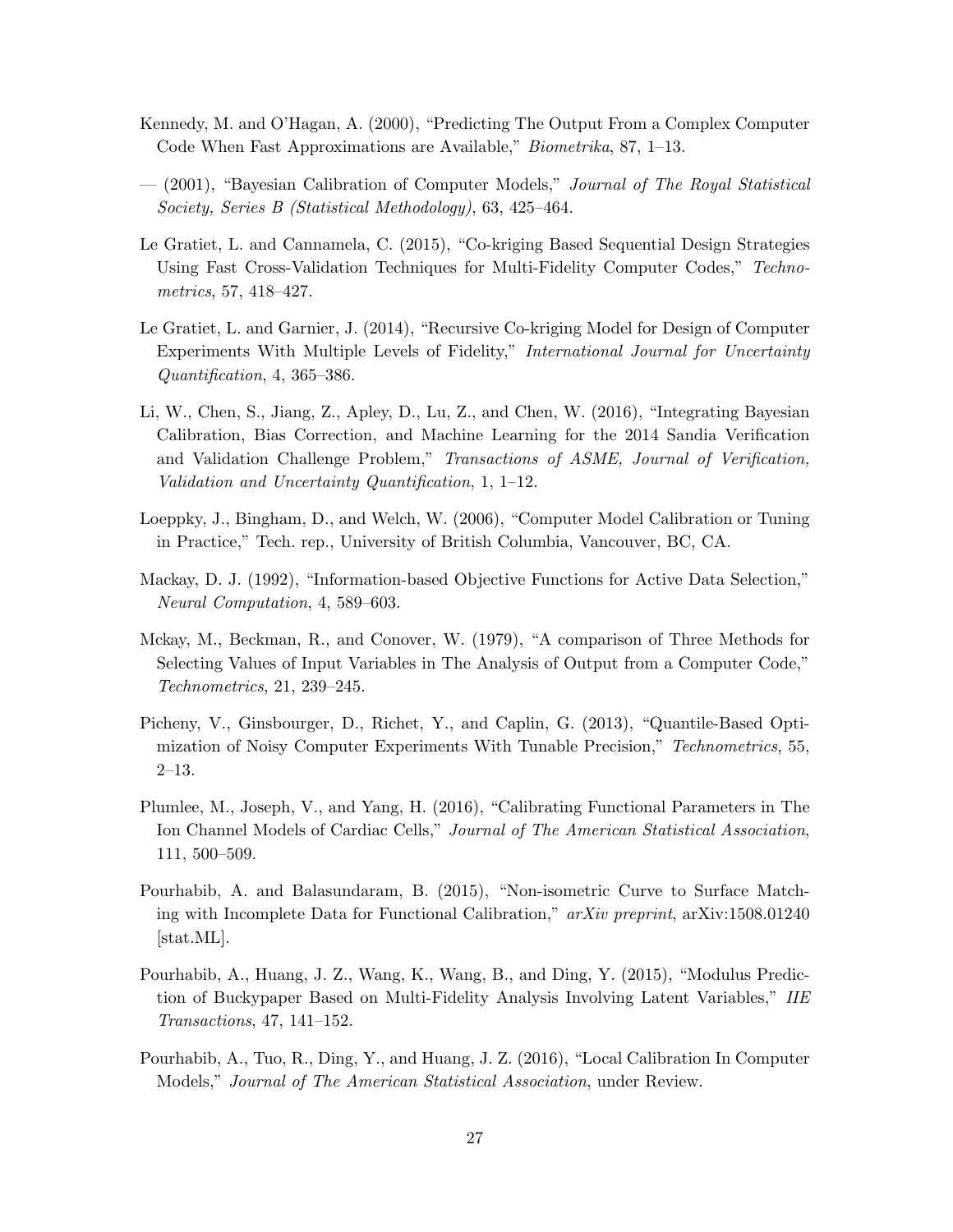- <span id="page-26-6"></span>Kennedy, M. and O'Hagan, A. (2000), "Predicting The Output From a Complex Computer Code When Fast Approximations are Available," Biometrika, 87, 1–13.
- <span id="page-26-0"></span>— (2001), "Bayesian Calibration of Computer Models," Journal of The Royal Statistical Society, Series B (Statistical Methodology), 63, 425–464.
- <span id="page-26-4"></span>Le Gratiet, L. and Cannamela, C. (2015), "Co-kriging Based Sequential Design Strategies Using Fast Cross-Validation Techniques for Multi-Fidelity Computer Codes," Technometrics, 57, 418–427.
- <span id="page-26-7"></span>Le Gratiet, L. and Garnier, J. (2014), "Recursive Co-kriging Model for Design of Computer Experiments With Multiple Levels of Fidelity," International Journal for Uncertainty Quantification, 4, 365–386.
- <span id="page-26-9"></span>Li, W., Chen, S., Jiang, Z., Apley, D., Lu, Z., and Chen, W. (2016), "Integrating Bayesian Calibration, Bias Correction, and Machine Learning for the 2014 Sandia Verification and Validation Challenge Problem," Transactions of ASME, Journal of Verification, Validation and Uncertainty Quantification, 1, 1–12.
- <span id="page-26-12"></span>Loeppky, J., Bingham, D., and Welch, W. (2006), "Computer Model Calibration or Tuning in Practice," Tech. rep., University of British Columbia, Vancouver, BC, CA.
- <span id="page-26-10"></span>Mackay, D. J. (1992), "Information-based Objective Functions for Active Data Selection," Neural Computation, 4, 589–603.
- <span id="page-26-11"></span>Mckay, M., Beckman, R., and Conover, W. (1979), "A comparison of Three Methods for Selecting Values of Input Variables in The Analysis of Output from a Computer Code," Technometrics, 21, 239–245.
- <span id="page-26-8"></span>Picheny, V., Ginsbourger, D., Richet, Y., and Caplin, G. (2013), "Quantile-Based Optimization of Noisy Computer Experiments With Tunable Precision," Technometrics, 55, 2–13.
- <span id="page-26-2"></span>Plumlee, M., Joseph, V., and Yang, H. (2016), "Calibrating Functional Parameters in The Ion Channel Models of Cardiac Cells," Journal of The American Statistical Association, 111, 500–509.
- <span id="page-26-5"></span>Pourhabib, A. and Balasundaram, B. (2015), "Non-isometric Curve to Surface Matching with Incomplete Data for Functional Calibration," arXiv preprint, arXiv:1508.01240 [stat.ML].
- <span id="page-26-1"></span>Pourhabib, A., Huang, J. Z., Wang, K., Wang, B., and Ding, Y. (2015), "Modulus Prediction of Buckypaper Based on Multi-Fidelity Analysis Involving Latent Variables," IIE Transactions, 47, 141–152.
- <span id="page-26-3"></span>Pourhabib, A., Tuo, R., Ding, Y., and Huang, J. Z. (2016), "Local Calibration In Computer Models," Journal of The American Statistical Association, under Review.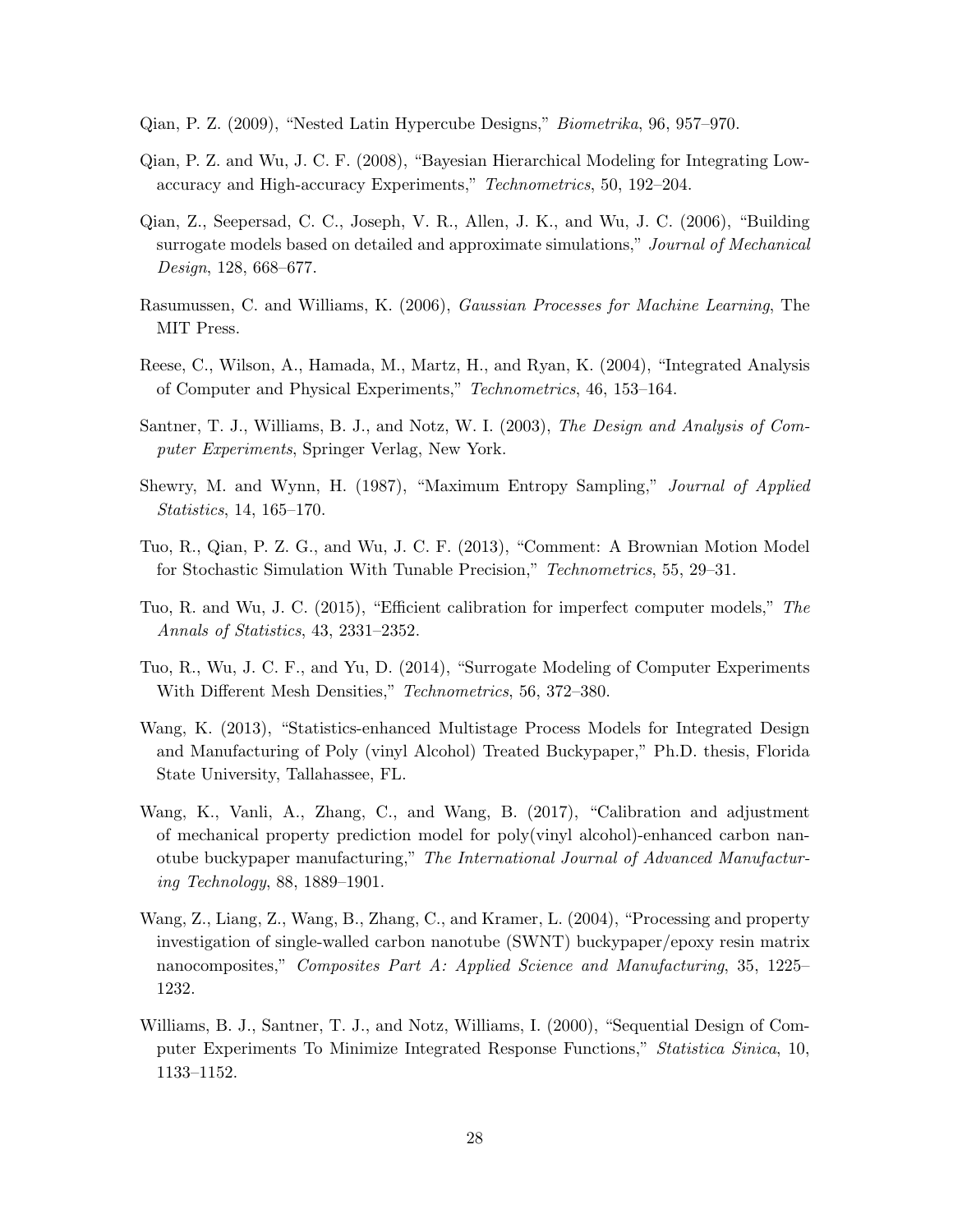- <span id="page-27-12"></span>Qian, P. Z. (2009), "Nested Latin Hypercube Designs," Biometrika, 96, 957–970.
- <span id="page-27-7"></span>Qian, P. Z. and Wu, J. C. F. (2008), "Bayesian Hierarchical Modeling for Integrating Lowaccuracy and High-accuracy Experiments," Technometrics, 50, 192–204.
- <span id="page-27-3"></span>Qian, Z., Seepersad, C. C., Joseph, V. R., Allen, J. K., and Wu, J. C. (2006), "Building surrogate models based on detailed and approximate simulations," Journal of Mechanical Design, 128, 668–677.
- <span id="page-27-9"></span>Rasumussen, C. and Williams, K. (2006), Gaussian Processes for Machine Learning, The MIT Press.
- <span id="page-27-6"></span>Reese, C., Wilson, A., Hamada, M., Martz, H., and Ryan, K. (2004), "Integrated Analysis of Computer and Physical Experiments," Technometrics, 46, 153–164.
- <span id="page-27-8"></span>Santner, T. J., Williams, B. J., and Notz, W. I. (2003), The Design and Analysis of Computer Experiments, Springer Verlag, New York.
- <span id="page-27-11"></span>Shewry, M. and Wynn, H. (1987), "Maximum Entropy Sampling," Journal of Applied Statistics, 14, 165–170.
- <span id="page-27-4"></span>Tuo, R., Qian, P. Z. G., and Wu, J. C. F. (2013), "Comment: A Brownian Motion Model for Stochastic Simulation With Tunable Precision," Technometrics, 55, 29–31.
- <span id="page-27-0"></span>Tuo, R. and Wu, J. C. (2015), "Efficient calibration for imperfect computer models," The Annals of Statistics, 43, 2331–2352.
- <span id="page-27-5"></span>Tuo, R., Wu, J. C. F., and Yu, D. (2014), "Surrogate Modeling of Computer Experiments With Different Mesh Densities," Technometrics, 56, 372–380.
- <span id="page-27-13"></span>Wang, K. (2013), "Statistics-enhanced Multistage Process Models for Integrated Design and Manufacturing of Poly (vinyl Alcohol) Treated Buckypaper," Ph.D. thesis, Florida State University, Tallahassee, FL.
- <span id="page-27-2"></span>Wang, K., Vanli, A., Zhang, C., and Wang, B. (2017), "Calibration and adjustment of mechanical property prediction model for poly(vinyl alcohol)-enhanced carbon nanotube buckypaper manufacturing," The International Journal of Advanced Manufacturing Technology, 88, 1889–1901.
- <span id="page-27-1"></span>Wang, Z., Liang, Z., Wang, B., Zhang, C., and Kramer, L. (2004), "Processing and property investigation of single-walled carbon nanotube (SWNT) buckypaper/epoxy resin matrix nanocomposites," Composites Part A: Applied Science and Manufacturing, 35, 1225– 1232.
- <span id="page-27-10"></span>Williams, B. J., Santner, T. J., and Notz, Williams, I. (2000), "Sequential Design of Computer Experiments To Minimize Integrated Response Functions," Statistica Sinica, 10, 1133–1152.